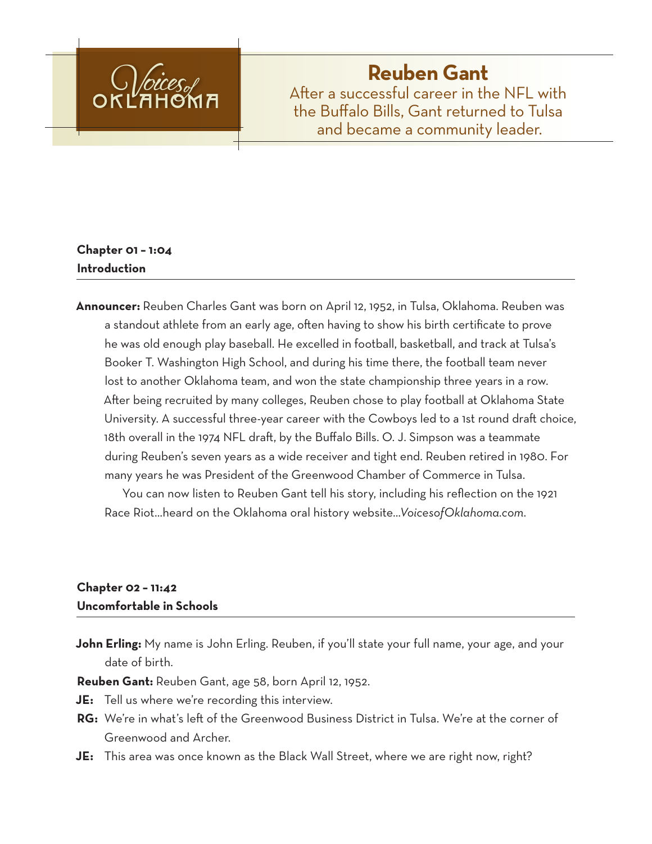

# **Reuben Gant**

After a successful career in the NFL with the Buffalo Bills, Gant returned to Tulsa and became a community leader.

## **Chapter 01 – 1:04 Introduction**

**Announcer:** Reuben Charles Gant was born on April 12, 1952, in Tulsa, Oklahoma. Reuben was a standout athlete from an early age, often having to show his birth certificate to prove he was old enough play baseball. He excelled in football, basketball, and track at Tulsa's Booker T. Washington High School, and during his time there, the football team never lost to another Oklahoma team, and won the state championship three years in a row. After being recruited by many colleges, Reuben chose to play football at Oklahoma State University. A successful three-year career with the Cowboys led to a 1st round draft choice, 18th overall in the 1974 NFL draft, by the Buffalo Bills. O. J. Simpson was a teammate during Reuben's seven years as a wide receiver and tight end. Reuben retired in 1980. For many years he was President of the Greenwood Chamber of Commerce in Tulsa.

You can now listen to Reuben Gant tell his story, including his reflection on the 1921 Race Riot…heard on the Oklahoma oral history website…*VoicesofOklahoma.com*.

## **Chapter 02 – 11:42 Uncomfortable in Schools**

**John Erling:** My name is John Erling. Reuben, if you'll state your full name, your age, and your date of birth.

**Reuben Gant:** Reuben Gant, age 58, born April 12, 1952.

- **JE:** Tell us where we're recording this interview.
- **RG:** We're in what's left of the Greenwood Business District in Tulsa. We're at the corner of Greenwood and Archer.
- **JE:** This area was once known as the Black Wall Street, where we are right now, right?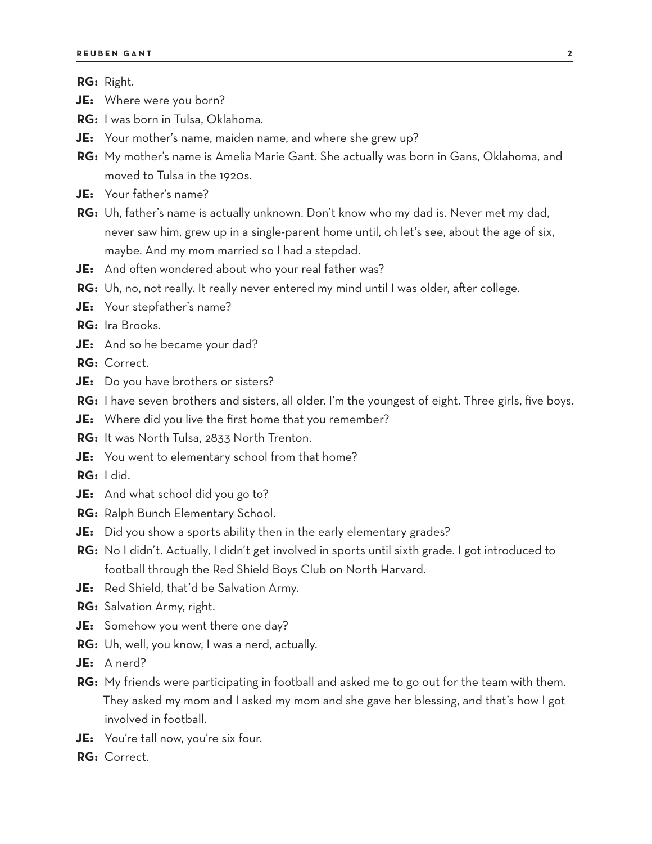**RG:** Right.

- **JE:** Where were you born?
- **RG:** I was born in Tulsa, Oklahoma.
- **JE:** Your mother's name, maiden name, and where she grew up?
- **RG:** My mother's name is Amelia Marie Gant. She actually was born in Gans, Oklahoma, and moved to Tulsa in the 1920s.
- **JE:** Your father's name?
- **RG:** Uh, father's name is actually unknown. Don't know who my dad is. Never met my dad, never saw him, grew up in a single-parent home until, oh let's see, about the age of six, maybe. And my mom married so I had a stepdad.
- **JE:** And often wondered about who your real father was?
- **RG:** Uh, no, not really. It really never entered my mind until I was older, after college.
- **JE:** Your stepfather's name?
- **RG:** Ira Brooks.
- **JE:** And so he became your dad?
- **RG:** Correct.
- **JE:** Do you have brothers or sisters?
- RG: I have seven brothers and sisters, all older. I'm the youngest of eight. Three girls, five boys.
- **JE:** Where did you live the first home that you remember?
- **RG:** It was North Tulsa, 2833 North Trenton.
- **JE:** You went to elementary school from that home?
- **RG:** I did.
- **JE:** And what school did you go to?
- **RG:** Ralph Bunch Elementary School.
- **JE:** Did you show a sports ability then in the early elementary grades?
- **RG:** No I didn't. Actually, I didn't get involved in sports until sixth grade. I got introduced to football through the Red Shield Boys Club on North Harvard.
- **JE:** Red Shield, that'd be Salvation Army.
- **RG:** Salvation Army, right.
- **JE:** Somehow you went there one day?
- **RG:** Uh, well, you know, I was a nerd, actually.
- **JE:** A nerd?
- **RG:** My friends were participating in football and asked me to go out for the team with them. They asked my mom and I asked my mom and she gave her blessing, and that's how I got involved in football.
- **JE:** You're tall now, you're six four.
- **RG:** Correct.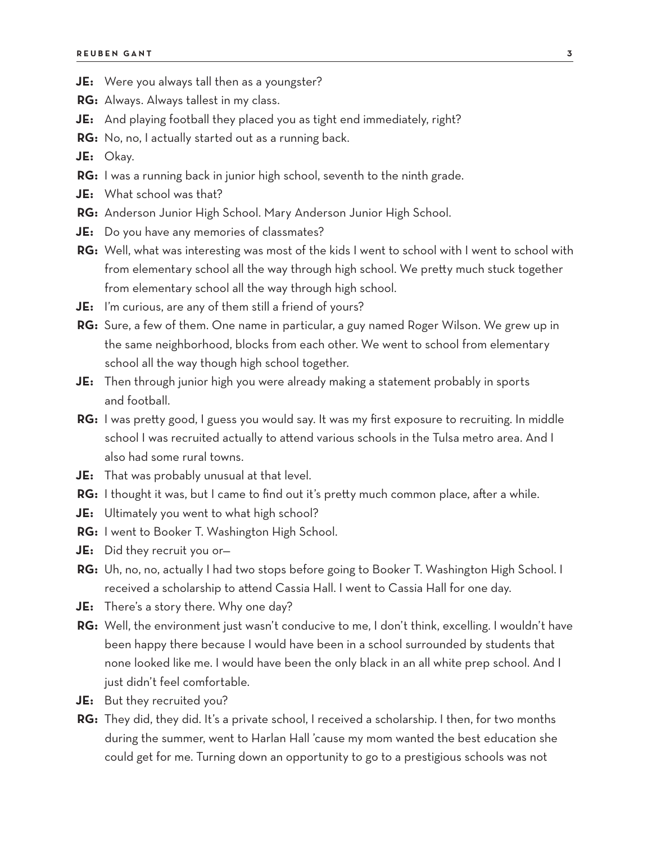- **JE:** Were you always tall then as a youngster?
- **RG:** Always. Always tallest in my class.
- **JE:** And playing football they placed you as tight end immediately, right?
- **RG:** No, no, I actually started out as a running back.

**JE:** Okay.

- **RG:** I was a running back in junior high school, seventh to the ninth grade.
- **JE:** What school was that?
- **RG:** Anderson Junior High School. Mary Anderson Junior High School.
- **JE:** Do you have any memories of classmates?
- **RG:** Well, what was interesting was most of the kids I went to school with I went to school with from elementary school all the way through high school. We pretty much stuck together from elementary school all the way through high school.
- **JE:** I'm curious, are any of them still a friend of yours?
- **RG:** Sure, a few of them. One name in particular, a guy named Roger Wilson. We grew up in the same neighborhood, blocks from each other. We went to school from elementary school all the way though high school together.
- **JE:** Then through junior high you were already making a statement probably in sports and football.
- **RG:** I was pretty good, I guess you would say. It was my first exposure to recruiting. In middle school I was recruited actually to attend various schools in the Tulsa metro area. And I also had some rural towns.
- **JE:** That was probably unusual at that level.
- **RG:** I thought it was, but I came to find out it's pretty much common place, after a while.
- **JE:** Ultimately you went to what high school?
- **RG:** I went to Booker T. Washington High School.
- **JE:** Did they recruit you or—
- **RG:** Uh, no, no, actually I had two stops before going to Booker T. Washington High School. I received a scholarship to attend Cassia Hall. I went to Cassia Hall for one day.
- **JE:** There's a story there. Why one day?
- **RG:** Well, the environment just wasn't conducive to me, I don't think, excelling. I wouldn't have been happy there because I would have been in a school surrounded by students that none looked like me. I would have been the only black in an all white prep school. And I just didn't feel comfortable.
- **JE:** But they recruited you?
- **RG:** They did, they did. It's a private school, I received a scholarship. I then, for two months during the summer, went to Harlan Hall 'cause my mom wanted the best education she could get for me. Turning down an opportunity to go to a prestigious schools was not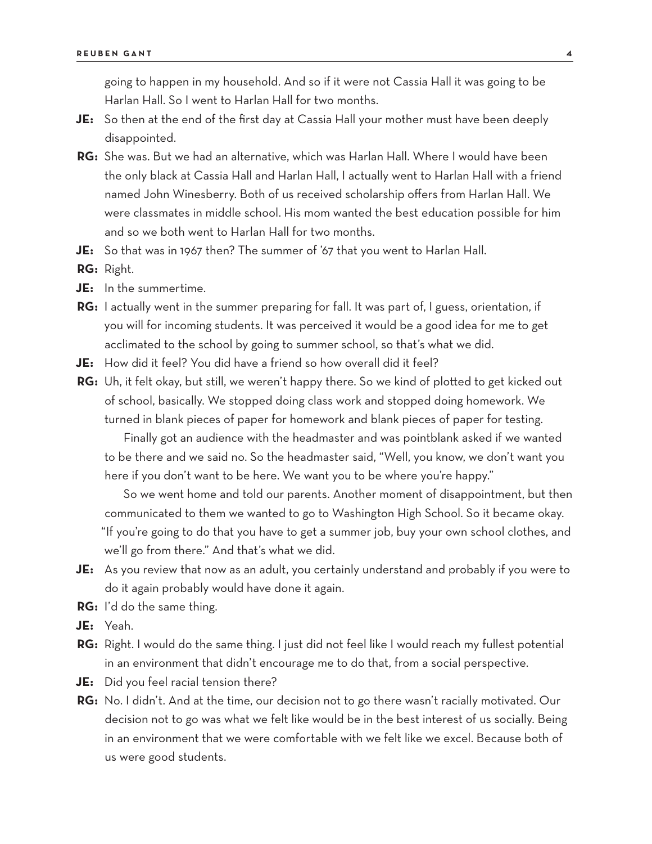going to happen in my household. And so if it were not Cassia Hall it was going to be Harlan Hall. So I went to Harlan Hall for two months.

- **JE:** So then at the end of the first day at Cassia Hall your mother must have been deeply disappointed.
- **RG:** She was. But we had an alternative, which was Harlan Hall. Where I would have been the only black at Cassia Hall and Harlan Hall, I actually went to Harlan Hall with a friend named John Winesberry. Both of us received scholarship offers from Harlan Hall. We were classmates in middle school. His mom wanted the best education possible for him and so we both went to Harlan Hall for two months.
- **JE:** So that was in 1967 then? The summer of '67 that you went to Harlan Hall.
- **RG:** Right.
- **JE:** In the summertime.
- **RG:** I actually went in the summer preparing for fall. It was part of, I guess, orientation, if you will for incoming students. It was perceived it would be a good idea for me to get acclimated to the school by going to summer school, so that's what we did.
- **JE:** How did it feel? You did have a friend so how overall did it feel?
- **RG:** Uh, it felt okay, but still, we weren't happy there. So we kind of plotted to get kicked out of school, basically. We stopped doing class work and stopped doing homework. We turned in blank pieces of paper for homework and blank pieces of paper for testing.

Finally got an audience with the headmaster and was pointblank asked if we wanted to be there and we said no. So the headmaster said, "Well, you know, we don't want you here if you don't want to be here. We want you to be where you're happy."

So we went home and told our parents. Another moment of disappointment, but then communicated to them we wanted to go to Washington High School. So it became okay. "If you're going to do that you have to get a summer job, buy your own school clothes, and we'll go from there." And that's what we did.

- **JE:** As you review that now as an adult, you certainly understand and probably if you were to do it again probably would have done it again.
- **RG:** I'd do the same thing.
- **JE:** Yeah.
- **RG:** Right. I would do the same thing. I just did not feel like I would reach my fullest potential in an environment that didn't encourage me to do that, from a social perspective.
- **JE:** Did you feel racial tension there?
- **RG:** No. I didn't. And at the time, our decision not to go there wasn't racially motivated. Our decision not to go was what we felt like would be in the best interest of us socially. Being in an environment that we were comfortable with we felt like we excel. Because both of us were good students.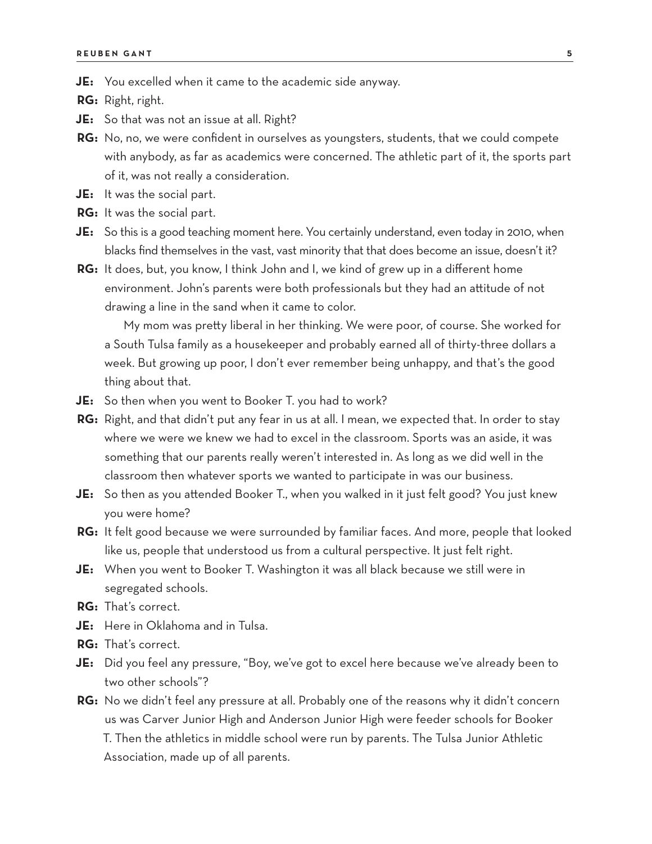**JE:** You excelled when it came to the academic side anyway.

**RG:** Right, right.

**JE:** So that was not an issue at all. Right?

**RG:** No, no, we were confident in ourselves as youngsters, students, that we could compete with anybody, as far as academics were concerned. The athletic part of it, the sports part of it, was not really a consideration.

- **JE:** It was the social part.
- **RG:** It was the social part.
- **JE:** So this is a good teaching moment here. You certainly understand, even today in 2010, when blacks find themselves in the vast, vast minority that that does become an issue, doesn't it?
- **RG:** It does, but, you know, I think John and I, we kind of grew up in a different home environment. John's parents were both professionals but they had an attitude of not drawing a line in the sand when it came to color.

My mom was pretty liberal in her thinking. We were poor, of course. She worked for a South Tulsa family as a housekeeper and probably earned all of thirty-three dollars a week. But growing up poor, I don't ever remember being unhappy, and that's the good thing about that.

- **JE:** So then when you went to Booker T. you had to work?
- **RG:** Right, and that didn't put any fear in us at all. I mean, we expected that. In order to stay where we were we knew we had to excel in the classroom. Sports was an aside, it was something that our parents really weren't interested in. As long as we did well in the classroom then whatever sports we wanted to participate in was our business.
- **JE:** So then as you attended Booker T., when you walked in it just felt good? You just knew you were home?
- **RG:** It felt good because we were surrounded by familiar faces. And more, people that looked like us, people that understood us from a cultural perspective. It just felt right.
- **JE:** When you went to Booker T. Washington it was all black because we still were in segregated schools.
- **RG:** That's correct.
- **JE:** Here in Oklahoma and in Tulsa.
- **RG:** That's correct.
- **JE:** Did you feel any pressure, "Boy, we've got to excel here because we've already been to two other schools"?
- **RG:** No we didn't feel any pressure at all. Probably one of the reasons why it didn't concern us was Carver Junior High and Anderson Junior High were feeder schools for Booker T. Then the athletics in middle school were run by parents. The Tulsa Junior Athletic Association, made up of all parents.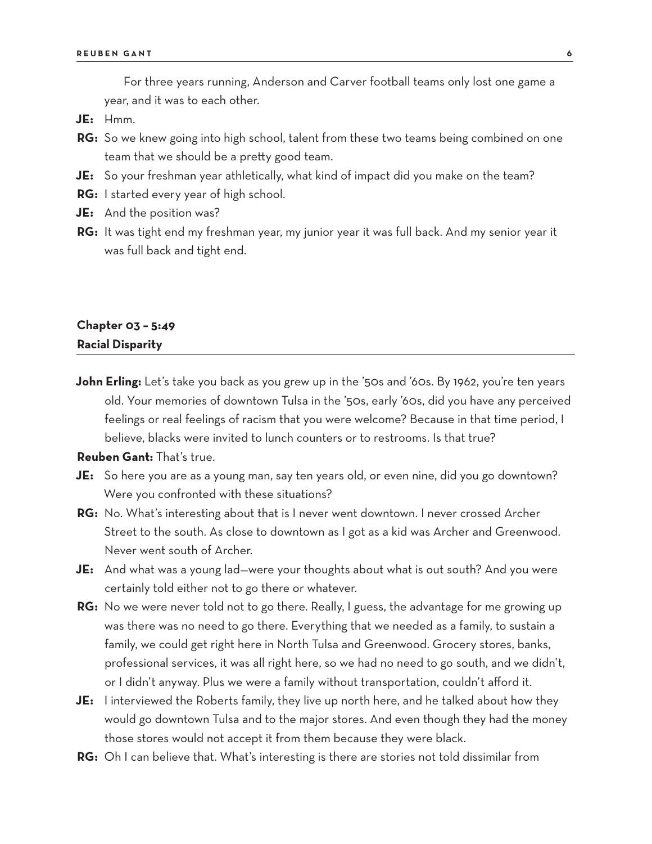For three years running, Anderson and Carver football teams only lost one game a year, and it was to each other.

- **JE:** Hmm.
- **RG:** So we knew going into high school, talent from these two teams being combined on one team that we should be a pretty good team.
- **JE:** So your freshman year athletically, what kind of impact did you make on the team?
- **RG:** I started every year of high school.
- **JE:** And the position was?
- **RG:** It was tight end my freshman year, my junior year it was full back. And my senior year it was full back and tight end.

## **Chapter 03 – 5:49 Racial Disparity**

**John Erling:** Let's take you back as you grew up in the '50s and '60s. By 1962, you're ten years old. Your memories of downtown Tulsa in the '50s, early '60s, did you have any perceived feelings or real feelings of racism that you were welcome? Because in that time period, I believe, blacks were invited to lunch counters or to restrooms. Is that true?

**Reuben Gant:** That's true.

- **JE:** So here you are as a young man, say ten years old, or even nine, did you go downtown? Were you confronted with these situations?
- **RG:** No. What's interesting about that is I never went downtown. I never crossed Archer Street to the south. As close to downtown as I got as a kid was Archer and Greenwood. Never went south of Archer.
- **JE:** And what was a young lad—were your thoughts about what is out south? And you were certainly told either not to go there or whatever.
- **RG:** No we were never told not to go there. Really, I guess, the advantage for me growing up was there was no need to go there. Everything that we needed as a family, to sustain a family, we could get right here in North Tulsa and Greenwood. Grocery stores, banks, professional services, it was all right here, so we had no need to go south, and we didn't, or I didn't anyway. Plus we were a family without transportation, couldn't afford it.
- **JE:** I interviewed the Roberts family, they live up north here, and he talked about how they would go downtown Tulsa and to the major stores. And even though they had the money those stores would not accept it from them because they were black.
- **RG:** Oh I can believe that. What's interesting is there are stories not told dissimilar from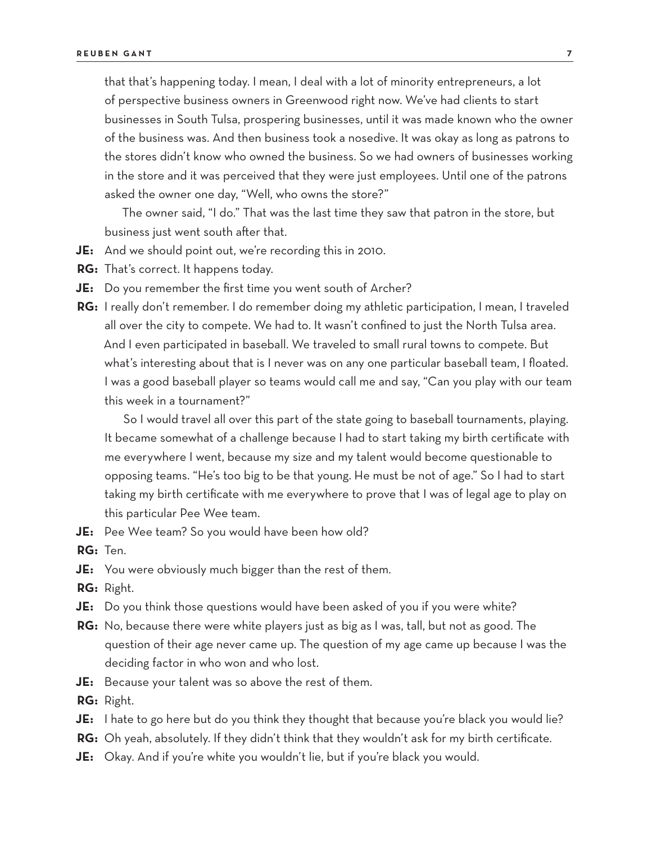that that's happening today. I mean, I deal with a lot of minority entrepreneurs, a lot of perspective business owners in Greenwood right now. We've had clients to start businesses in South Tulsa, prospering businesses, until it was made known who the owner of the business was. And then business took a nosedive. It was okay as long as patrons to the stores didn't know who owned the business. So we had owners of businesses working in the store and it was perceived that they were just employees. Until one of the patrons asked the owner one day, "Well, who owns the store?"

The owner said, "I do." That was the last time they saw that patron in the store, but business just went south after that.

- **JE:** And we should point out, we're recording this in 2010.
- **RG:** That's correct. It happens today.
- **JE:** Do you remember the first time you went south of Archer?
- **RG:** I really don't remember. I do remember doing my athletic participation, I mean, I traveled all over the city to compete. We had to. It wasn't confined to just the North Tulsa area. And I even participated in baseball. We traveled to small rural towns to compete. But what's interesting about that is I never was on any one particular baseball team, I floated. I was a good baseball player so teams would call me and say, "Can you play with our team this week in a tournament?"

So I would travel all over this part of the state going to baseball tournaments, playing. It became somewhat of a challenge because I had to start taking my birth certificate with me everywhere I went, because my size and my talent would become questionable to opposing teams. "He's too big to be that young. He must be not of age." So I had to start taking my birth certificate with me everywhere to prove that I was of legal age to play on this particular Pee Wee team.

**JE:** Pee Wee team? So you would have been how old?

**RG:** Ten.

- **JE:** You were obviously much bigger than the rest of them.
- **RG:** Right.
- **JE:** Do you think those questions would have been asked of you if you were white?
- **RG:** No, because there were white players just as big as I was, tall, but not as good. The question of their age never came up. The question of my age came up because I was the deciding factor in who won and who lost.
- **JE:** Because your talent was so above the rest of them.
- **RG:** Right.
- **JE:** I hate to go here but do you think they thought that because you're black you would lie?
- **RG:** Oh yeah, absolutely. If they didn't think that they wouldn't ask for my birth certificate.
- **JE:** Okay. And if you're white you wouldn't lie, but if you're black you would.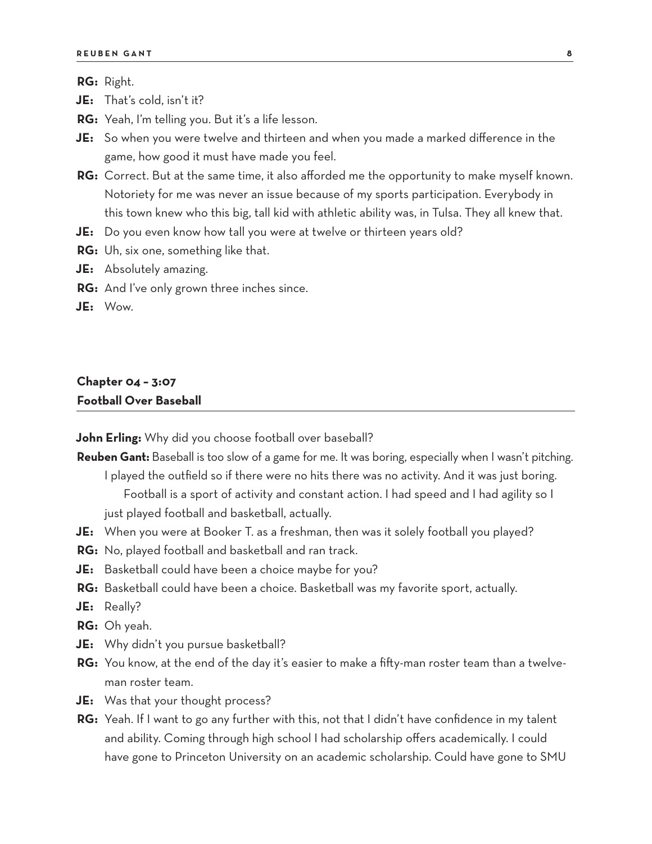**RG:** Right.

**JE:** That's cold, isn't it?

**RG:** Yeah, I'm telling you. But it's a life lesson.

**JE:** So when you were twelve and thirteen and when you made a marked difference in the game, how good it must have made you feel.

**RG:** Correct. But at the same time, it also afforded me the opportunity to make myself known. Notoriety for me was never an issue because of my sports participation. Everybody in this town knew who this big, tall kid with athletic ability was, in Tulsa. They all knew that.

**JE:** Do you even know how tall you were at twelve or thirteen years old?

- **RG:** Uh, six one, something like that.
- **JE:** Absolutely amazing.
- **RG:** And I've only grown three inches since.
- **JE:** Wow.

#### **Chapter 04 – 3:07 Football Over Baseball**

**John Erling:** Why did you choose football over baseball?

**Reuben Gant:** Baseball is too slow of a game for me. It was boring, especially when I wasn't pitching. I played the outfield so if there were no hits there was no activity. And it was just boring.

Football is a sport of activity and constant action. I had speed and I had agility so I just played football and basketball, actually.

- **JE:** When you were at Booker T. as a freshman, then was it solely football you played?
- **RG:** No, played football and basketball and ran track.
- **JE:** Basketball could have been a choice maybe for you?
- **RG:** Basketball could have been a choice. Basketball was my favorite sport, actually.
- **JE:** Really?
- **RG:** Oh yeah.
- **JE:** Why didn't you pursue basketball?
- **RG:** You know, at the end of the day it's easier to make a fifty-man roster team than a twelveman roster team.
- **JE:** Was that your thought process?
- **RG:** Yeah. If I want to go any further with this, not that I didn't have confidence in my talent and ability. Coming through high school I had scholarship offers academically. I could have gone to Princeton University on an academic scholarship. Could have gone to SMU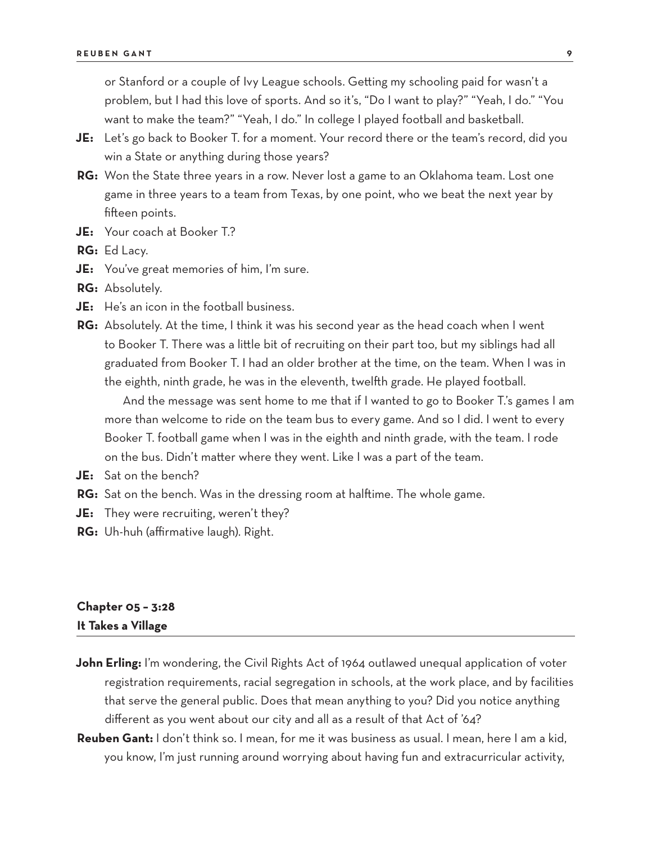or Stanford or a couple of Ivy League schools. Getting my schooling paid for wasn't a problem, but I had this love of sports. And so it's, "Do I want to play?" "Yeah, I do." "You want to make the team?" "Yeah, I do." In college I played football and basketball.

- **JE:** Let's go back to Booker T. for a moment. Your record there or the team's record, did you win a State or anything during those years?
- **RG:** Won the State three years in a row. Never lost a game to an Oklahoma team. Lost one game in three years to a team from Texas, by one point, who we beat the next year by fifteen points.
- **JE:** Your coach at Booker T.?
- **RG:** Ed Lacy.
- **JE:** You've great memories of him, I'm sure.
- **RG:** Absolutely.
- **JE:** He's an icon in the football business.
- **RG:** Absolutely. At the time, I think it was his second year as the head coach when I went to Booker T. There was a little bit of recruiting on their part too, but my siblings had all graduated from Booker T. I had an older brother at the time, on the team. When I was in the eighth, ninth grade, he was in the eleventh, twelfth grade. He played football.

And the message was sent home to me that if I wanted to go to Booker T.'s games I am more than welcome to ride on the team bus to every game. And so I did. I went to every Booker T. football game when I was in the eighth and ninth grade, with the team. I rode on the bus. Didn't matter where they went. Like I was a part of the team.

- **JE:** Sat on the bench?
- **RG:** Sat on the bench. Was in the dressing room at halftime. The whole game.
- **JE:** They were recruiting, weren't they?
- **RG:** Uh-huh (affirmative laugh). Right.

## **Chapter 05 – 3:28 It Takes a Village**

- **John Erling:** I'm wondering, the Civil Rights Act of 1964 outlawed unequal application of voter registration requirements, racial segregation in schools, at the work place, and by facilities that serve the general public. Does that mean anything to you? Did you notice anything different as you went about our city and all as a result of that Act of '64?
- **Reuben Gant:** I don't think so. I mean, for me it was business as usual. I mean, here I am a kid, you know, I'm just running around worrying about having fun and extracurricular activity,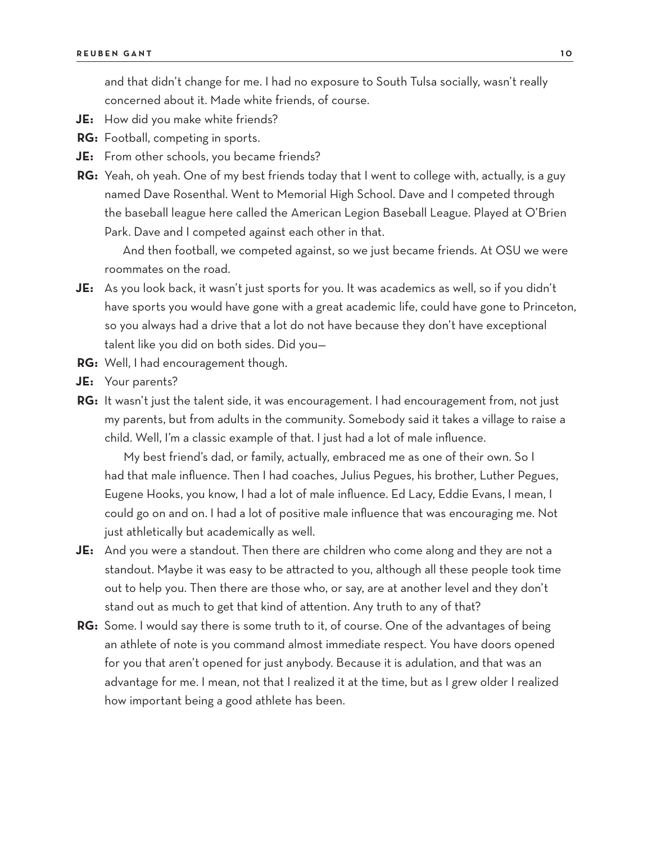and that didn't change for me. I had no exposure to South Tulsa socially, wasn't really concerned about it. Made white friends, of course.

- **JE:** How did you make white friends?
- **RG:** Football, competing in sports.
- **JE:** From other schools, you became friends?
- **RG:** Yeah, oh yeah. One of my best friends today that I went to college with, actually, is a guy named Dave Rosenthal. Went to Memorial High School. Dave and I competed through the baseball league here called the American Legion Baseball League. Played at O'Brien Park. Dave and I competed against each other in that.

And then football, we competed against, so we just became friends. At OSU we were roommates on the road.

- **JE:** As you look back, it wasn't just sports for you. It was academics as well, so if you didn't have sports you would have gone with a great academic life, could have gone to Princeton, so you always had a drive that a lot do not have because they don't have exceptional talent like you did on both sides. Did you—
- **RG:** Well, I had encouragement though.
- **JE:** Your parents?
- **RG:** It wasn't just the talent side, it was encouragement. I had encouragement from, not just my parents, but from adults in the community. Somebody said it takes a village to raise a child. Well, I'm a classic example of that. I just had a lot of male influence.

My best friend's dad, or family, actually, embraced me as one of their own. So I had that male influence. Then I had coaches, Julius Pegues, his brother, Luther Pegues, Eugene Hooks, you know, I had a lot of male influence. Ed Lacy, Eddie Evans, I mean, I could go on and on. I had a lot of positive male influence that was encouraging me. Not just athletically but academically as well.

- **JE:** And you were a standout. Then there are children who come along and they are not a standout. Maybe it was easy to be attracted to you, although all these people took time out to help you. Then there are those who, or say, are at another level and they don't stand out as much to get that kind of attention. Any truth to any of that?
- **RG:** Some. I would say there is some truth to it, of course. One of the advantages of being an athlete of note is you command almost immediate respect. You have doors opened for you that aren't opened for just anybody. Because it is adulation, and that was an advantage for me. I mean, not that I realized it at the time, but as I grew older I realized how important being a good athlete has been.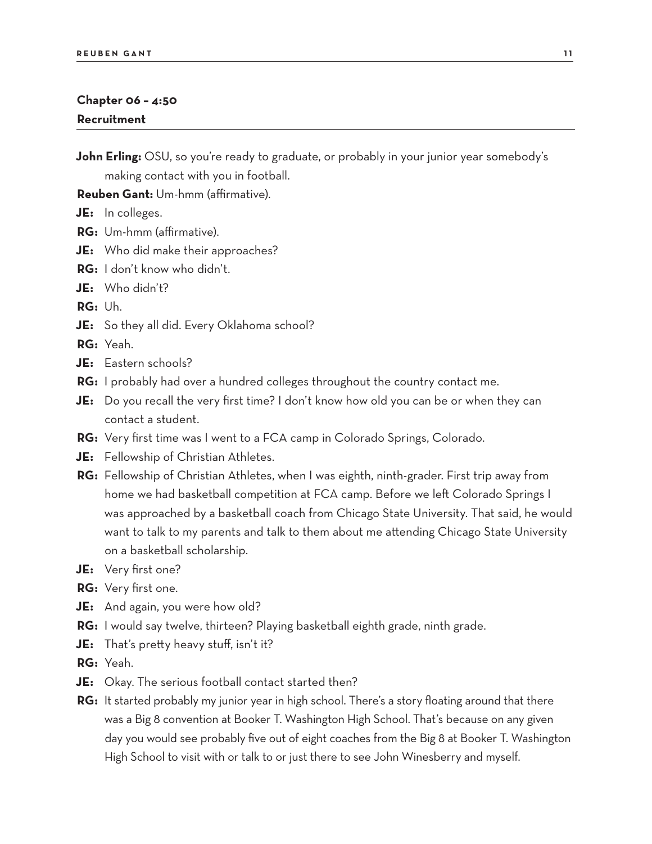#### **Chapter 06 – 4:50 Recruitment**

**John Erling:** OSU, so you're ready to graduate, or probably in your junior year somebody's making contact with you in football.

**Reuben Gant:** Um-hmm (affirmative).

**JE:** In colleges.

- **RG:** Um-hmm (affirmative).
- **JE:** Who did make their approaches?
- **RG:** I don't know who didn't.
- **JE:** Who didn't?

**RG:** Uh.

**JE:** So they all did. Every Oklahoma school?

**RG:** Yeah.

- **JE:** Eastern schools?
- **RG:** I probably had over a hundred colleges throughout the country contact me.
- **JE:** Do you recall the very first time? I don't know how old you can be or when they can contact a student.
- **RG:** Very first time was I went to a FCA camp in Colorado Springs, Colorado.
- **JE:** Fellowship of Christian Athletes.
- **RG:** Fellowship of Christian Athletes, when I was eighth, ninth-grader. First trip away from home we had basketball competition at FCA camp. Before we left Colorado Springs I was approached by a basketball coach from Chicago State University. That said, he would want to talk to my parents and talk to them about me attending Chicago State University on a basketball scholarship.
- **JE:** Very first one?
- **RG:** Very first one.
- **JE:** And again, you were how old?
- **RG:** I would say twelve, thirteen? Playing basketball eighth grade, ninth grade.
- **JE:** That's pretty heavy stuff, isn't it?
- **RG:** Yeah.
- **JE:** Okay. The serious football contact started then?
- **RG:** It started probably my junior year in high school. There's a story floating around that there was a Big 8 convention at Booker T. Washington High School. That's because on any given day you would see probably five out of eight coaches from the Big 8 at Booker T. Washington High School to visit with or talk to or just there to see John Winesberry and myself.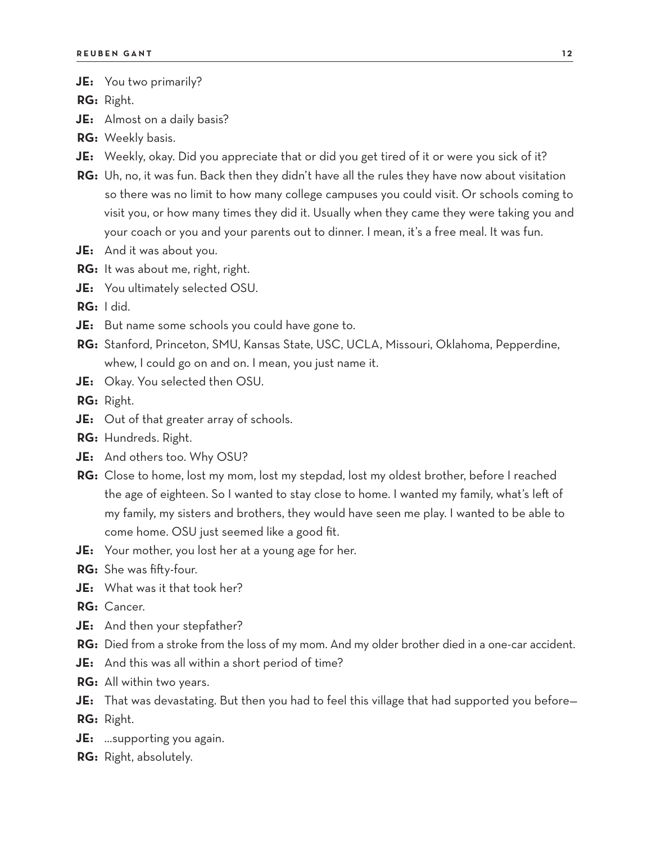**JE:** You two primarily?

**RG:** Right.

**JE:** Almost on a daily basis?

- **RG:** Weekly basis.
- **JE:** Weekly, okay. Did you appreciate that or did you get tired of it or were you sick of it?
- **RG:** Uh, no, it was fun. Back then they didn't have all the rules they have now about visitation so there was no limit to how many college campuses you could visit. Or schools coming to visit you, or how many times they did it. Usually when they came they were taking you and your coach or you and your parents out to dinner. I mean, it's a free meal. It was fun.
- **JE:** And it was about you.
- **RG:** It was about me, right, right.
- **JE:** You ultimately selected OSU.

**RG:** I did.

- **JE:** But name some schools you could have gone to.
- **RG:** Stanford, Princeton, SMU, Kansas State, USC, UCLA, Missouri, Oklahoma, Pepperdine, whew, I could go on and on. I mean, you just name it.
- **JE:** Okay. You selected then OSU.

**RG:** Right.

- **JE:** Out of that greater array of schools.
- **RG:** Hundreds. Right.
- **JE:** And others too. Why OSU?
- **RG:** Close to home, lost my mom, lost my stepdad, lost my oldest brother, before I reached the age of eighteen. So I wanted to stay close to home. I wanted my family, what's left of my family, my sisters and brothers, they would have seen me play. I wanted to be able to come home. OSU just seemed like a good fit.
- **JE:** Your mother, you lost her at a young age for her.
- **RG:** She was fifty-four.
- **JE:** What was it that took her?
- **RG:** Cancer.
- **JE:** And then your stepfather?
- **RG:** Died from a stroke from the loss of my mom. And my older brother died in a one-car accident.
- **JE:** And this was all within a short period of time?
- **RG:** All within two years.
- **JE:** That was devastating. But then you had to feel this village that had supported you before— **RG:** Right.
- **JE:** …supporting you again.
- **RG:** Right, absolutely.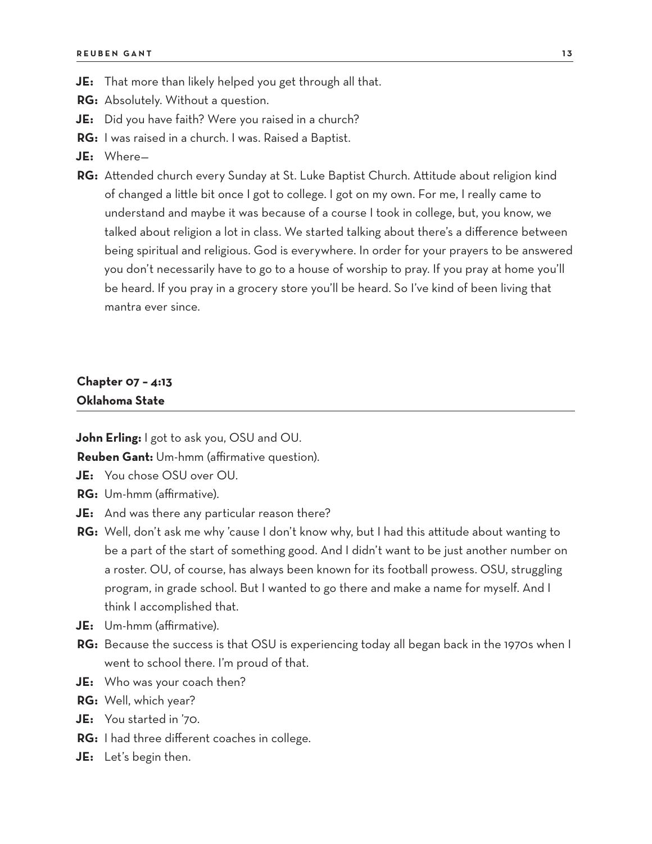- **JE:** That more than likely helped you get through all that.
- **RG:** Absolutely. Without a question.
- **JE:** Did you have faith? Were you raised in a church?
- **RG:** I was raised in a church. I was. Raised a Baptist.
- **JE:** Where—
- **RG:** Attended church every Sunday at St. Luke Baptist Church. Attitude about religion kind of changed a little bit once I got to college. I got on my own. For me, I really came to understand and maybe it was because of a course I took in college, but, you know, we talked about religion a lot in class. We started talking about there's a difference between being spiritual and religious. God is everywhere. In order for your prayers to be answered you don't necessarily have to go to a house of worship to pray. If you pray at home you'll be heard. If you pray in a grocery store you'll be heard. So I've kind of been living that mantra ever since.

#### **Chapter 07 – 4:13 Oklahoma State**

**John Erling:** I got to ask you, OSU and OU.

**Reuben Gant:** Um-hmm (affirmative question).

- **JE:** You chose OSU over OU.
- **RG:** Um-hmm (affirmative).
- **JE:** And was there any particular reason there?
- **RG:** Well, don't ask me why 'cause I don't know why, but I had this attitude about wanting to be a part of the start of something good. And I didn't want to be just another number on a roster. OU, of course, has always been known for its football prowess. OSU, struggling program, in grade school. But I wanted to go there and make a name for myself. And I think I accomplished that.
- **JE:** Um-hmm (affirmative).
- **RG:** Because the success is that OSU is experiencing today all began back in the 1970s when I went to school there. I'm proud of that.
- **JE:** Who was your coach then?
- **RG:** Well, which year?
- **JE:** You started in '70.
- **RG:** I had three different coaches in college.
- **JE:** Let's begin then.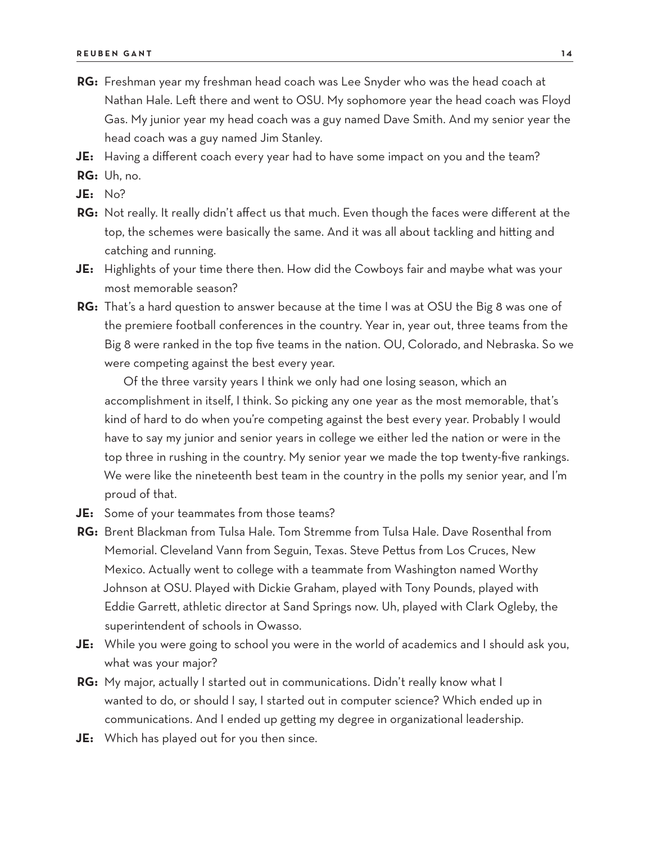- **RG:** Freshman year my freshman head coach was Lee Snyder who was the head coach at Nathan Hale. Left there and went to OSU. My sophomore year the head coach was Floyd Gas. My junior year my head coach was a guy named Dave Smith. And my senior year the head coach was a guy named Jim Stanley.
- **JE:** Having a different coach every year had to have some impact on you and the team?
- **RG:** Uh, no.
- **JE:** No?
- **RG:** Not really. It really didn't affect us that much. Even though the faces were different at the top, the schemes were basically the same. And it was all about tackling and hitting and catching and running.
- **JE:** Highlights of your time there then. How did the Cowboys fair and maybe what was your most memorable season?
- **RG:** That's a hard question to answer because at the time I was at OSU the Big 8 was one of the premiere football conferences in the country. Year in, year out, three teams from the Big 8 were ranked in the top five teams in the nation. OU, Colorado, and Nebraska. So we were competing against the best every year.

Of the three varsity years I think we only had one losing season, which an accomplishment in itself, I think. So picking any one year as the most memorable, that's kind of hard to do when you're competing against the best every year. Probably I would have to say my junior and senior years in college we either led the nation or were in the top three in rushing in the country. My senior year we made the top twenty-five rankings. We were like the nineteenth best team in the country in the polls my senior year, and I'm proud of that.

- **JE:** Some of your teammates from those teams?
- **RG:** Brent Blackman from Tulsa Hale. Tom Stremme from Tulsa Hale. Dave Rosenthal from Memorial. Cleveland Vann from Seguin, Texas. Steve Pettus from Los Cruces, New Mexico. Actually went to college with a teammate from Washington named Worthy Johnson at OSU. Played with Dickie Graham, played with Tony Pounds, played with Eddie Garrett, athletic director at Sand Springs now. Uh, played with Clark Ogleby, the superintendent of schools in Owasso.
- **JE:** While you were going to school you were in the world of academics and I should ask you, what was your major?
- **RG:** My major, actually I started out in communications. Didn't really know what I wanted to do, or should I say, I started out in computer science? Which ended up in communications. And I ended up getting my degree in organizational leadership.
- **JE:** Which has played out for you then since.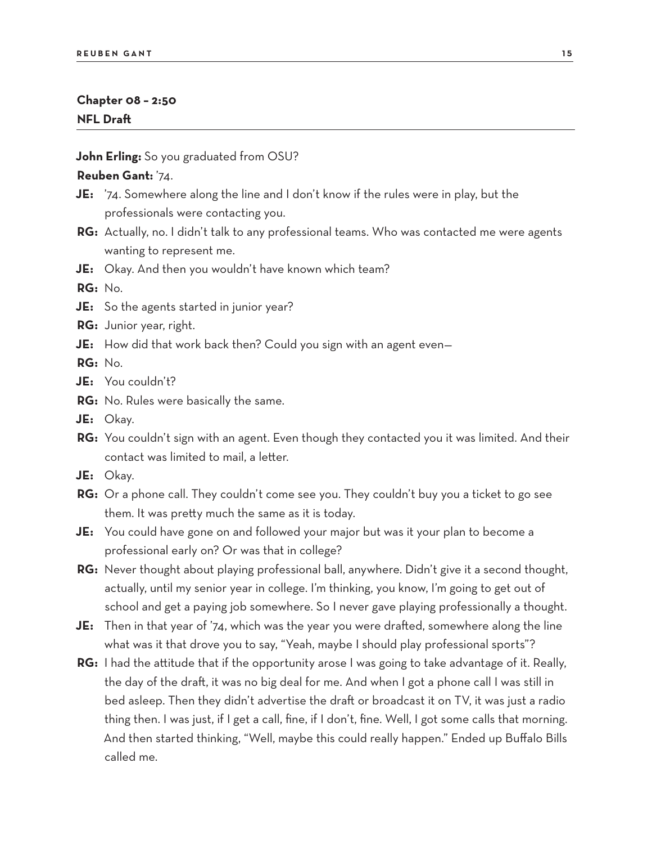#### **Chapter 08 – 2:50 NFL Draft**

**John Erling:** So you graduated from OSU?

#### **Reuben Gant:** '74.

- **JE:** '74. Somewhere along the line and I don't know if the rules were in play, but the professionals were contacting you.
- **RG:** Actually, no. I didn't talk to any professional teams. Who was contacted me were agents wanting to represent me.
- **JE:** Okay. And then you wouldn't have known which team?

**RG:** No.

- **JE:** So the agents started in junior year?
- **RG:** Junior year, right.
- **JE:** How did that work back then? Could you sign with an agent even—

**RG:** No.

- **JE:** You couldn't?
- **RG:** No. Rules were basically the same.
- **JE:** Okay.
- **RG:** You couldn't sign with an agent. Even though they contacted you it was limited. And their contact was limited to mail, a letter.
- **JE:** Okay.
- **RG:** Or a phone call. They couldn't come see you. They couldn't buy you a ticket to go see them. It was pretty much the same as it is today.
- **JE:** You could have gone on and followed your major but was it your plan to become a professional early on? Or was that in college?
- **RG:** Never thought about playing professional ball, anywhere. Didn't give it a second thought, actually, until my senior year in college. I'm thinking, you know, I'm going to get out of school and get a paying job somewhere. So I never gave playing professionally a thought.
- **JE:** Then in that year of '74, which was the year you were drafted, somewhere along the line what was it that drove you to say, "Yeah, maybe I should play professional sports"?
- **RG:** I had the attitude that if the opportunity arose I was going to take advantage of it. Really, the day of the draft, it was no big deal for me. And when I got a phone call I was still in bed asleep. Then they didn't advertise the draft or broadcast it on TV, it was just a radio thing then. I was just, if I get a call, fine, if I don't, fine. Well, I got some calls that morning. And then started thinking, "Well, maybe this could really happen." Ended up Buffalo Bills called me.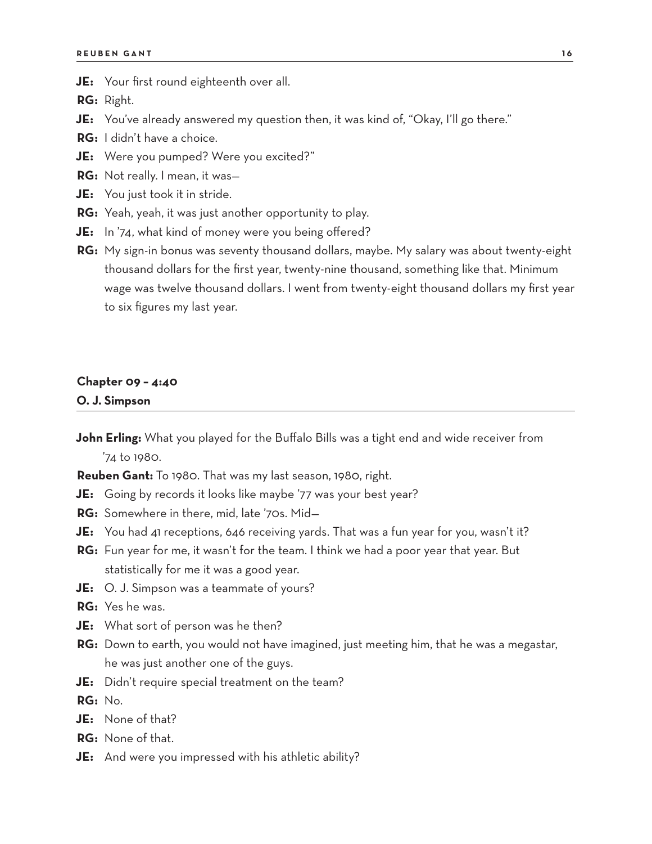**JE:** Your first round eighteenth over all.

**RG:** Right.

- **JE:** You've already answered my question then, it was kind of, "Okay, I'll go there."
- **RG:** I didn't have a choice.
- **JE:** Were you pumped? Were you excited?"
- **RG:** Not really. I mean, it was—
- **JE:** You just took it in stride.
- **RG:** Yeah, yeah, it was just another opportunity to play.
- **JE:** In '74, what kind of money were you being offered?
- **RG:** My sign-in bonus was seventy thousand dollars, maybe. My salary was about twenty-eight thousand dollars for the first year, twenty-nine thousand, something like that. Minimum wage was twelve thousand dollars. I went from twenty-eight thousand dollars my first year to six figures my last year.

#### **Chapter 09 – 4:40 O. J. Simpson**

**John Erling:** What you played for the Buffalo Bills was a tight end and wide receiver from '74 to 1980.

**Reuben Gant:** To 1980. That was my last season, 1980, right.

- **JE:** Going by records it looks like maybe '77 was your best year?
- **RG:** Somewhere in there, mid, late '70s. Mid—
- **JE:** You had 41 receptions, 646 receiving yards. That was a fun year for you, wasn't it?
- **RG:** Fun year for me, it wasn't for the team. I think we had a poor year that year. But statistically for me it was a good year.
- **JE:** O. J. Simpson was a teammate of yours?

**RG:** Yes he was.

- **JE:** What sort of person was he then?
- **RG:** Down to earth, you would not have imagined, just meeting him, that he was a megastar, he was just another one of the guys.
- **JE:** Didn't require special treatment on the team?

**RG:** No.

- **JE:** None of that?
- **RG:** None of that.
- **JE:** And were you impressed with his athletic ability?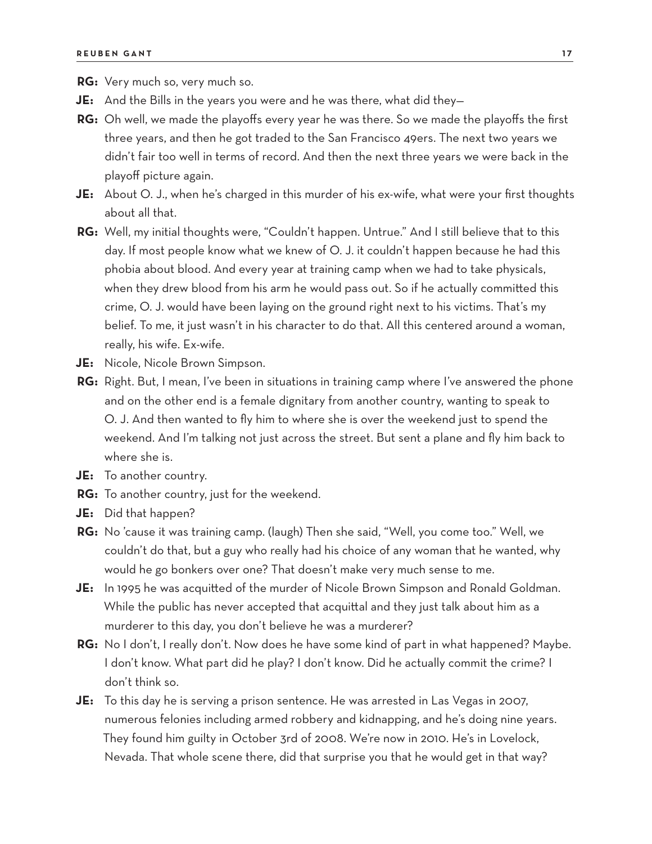**RG:** Very much so, very much so.

- **JE:** And the Bills in the years you were and he was there, what did they—
- **RG:** Oh well, we made the playoffs every year he was there. So we made the playoffs the first three years, and then he got traded to the San Francisco 49ers. The next two years we didn't fair too well in terms of record. And then the next three years we were back in the playoff picture again.
- **JE:** About O. J., when he's charged in this murder of his ex-wife, what were your first thoughts about all that.
- **RG:** Well, my initial thoughts were, "Couldn't happen. Untrue." And I still believe that to this day. If most people know what we knew of O. J. it couldn't happen because he had this phobia about blood. And every year at training camp when we had to take physicals, when they drew blood from his arm he would pass out. So if he actually committed this crime, O. J. would have been laying on the ground right next to his victims. That's my belief. To me, it just wasn't in his character to do that. All this centered around a woman, really, his wife. Ex-wife.
- **JE:** Nicole, Nicole Brown Simpson.
- **RG:** Right. But, I mean, I've been in situations in training camp where I've answered the phone and on the other end is a female dignitary from another country, wanting to speak to O. J. And then wanted to fly him to where she is over the weekend just to spend the weekend. And I'm talking not just across the street. But sent a plane and fly him back to where she is.
- **JE:** To another country.
- **RG:** To another country, just for the weekend.
- **JE:** Did that happen?
- **RG:** No 'cause it was training camp. (laugh) Then she said, "Well, you come too." Well, we couldn't do that, but a guy who really had his choice of any woman that he wanted, why would he go bonkers over one? That doesn't make very much sense to me.
- **JE:** In 1995 he was acquitted of the murder of Nicole Brown Simpson and Ronald Goldman. While the public has never accepted that acquittal and they just talk about him as a murderer to this day, you don't believe he was a murderer?
- **RG:** No I don't, I really don't. Now does he have some kind of part in what happened? Maybe. I don't know. What part did he play? I don't know. Did he actually commit the crime? I don't think so.
- **JE:** To this day he is serving a prison sentence. He was arrested in Las Vegas in 2007, numerous felonies including armed robbery and kidnapping, and he's doing nine years. They found him guilty in October 3rd of 2008. We're now in 2010. He's in Lovelock, Nevada. That whole scene there, did that surprise you that he would get in that way?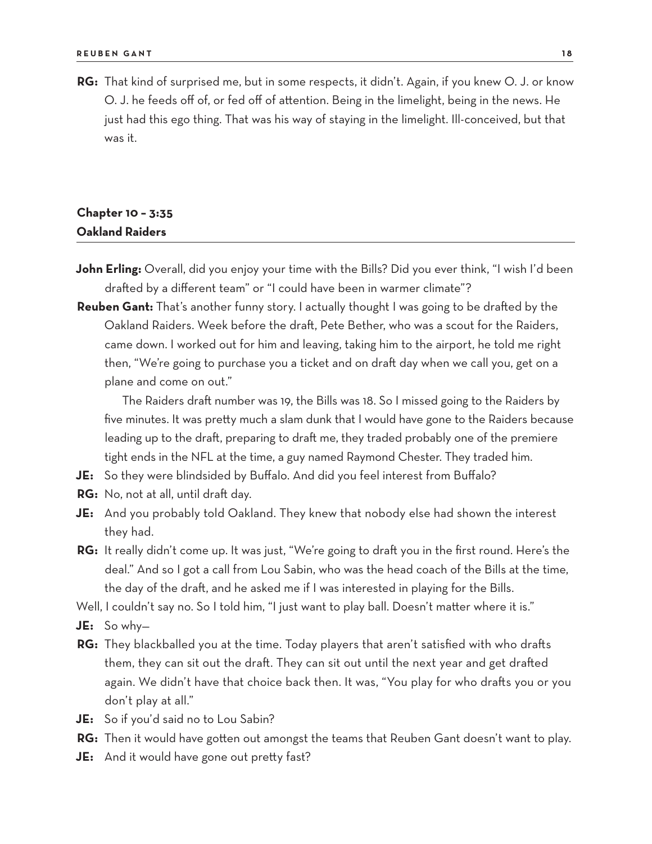**RG:** That kind of surprised me, but in some respects, it didn't. Again, if you knew O. J. or know O. J. he feeds off of, or fed off of attention. Being in the limelight, being in the news. He just had this ego thing. That was his way of staying in the limelight. Ill-conceived, but that was it.

## **Chapter 10 – 3:35 Oakland Raiders**

- **John Erling:** Overall, did you enjoy your time with the Bills? Did you ever think, "I wish I'd been drafted by a different team" or "I could have been in warmer climate"?
- **Reuben Gant:** That's another funny story. I actually thought I was going to be drafted by the Oakland Raiders. Week before the draft, Pete Bether, who was a scout for the Raiders, came down. I worked out for him and leaving, taking him to the airport, he told me right then, "We're going to purchase you a ticket and on draft day when we call you, get on a plane and come on out."

The Raiders draft number was 19, the Bills was 18. So I missed going to the Raiders by five minutes. It was pretty much a slam dunk that I would have gone to the Raiders because leading up to the draft, preparing to draft me, they traded probably one of the premiere tight ends in the NFL at the time, a guy named Raymond Chester. They traded him.

- **JE:** So they were blindsided by Buffalo. And did you feel interest from Buffalo?
- **RG:** No, not at all, until draft day.
- **JE:** And you probably told Oakland. They knew that nobody else had shown the interest they had.
- **RG:** It really didn't come up. It was just, "We're going to draft you in the first round. Here's the deal." And so I got a call from Lou Sabin, who was the head coach of the Bills at the time, the day of the draft, and he asked me if I was interested in playing for the Bills.
- Well, I couldn't say no. So I told him, "I just want to play ball. Doesn't matter where it is."
- **JE:** So why—
- **RG:** They blackballed you at the time. Today players that aren't satisfied with who drafts them, they can sit out the draft. They can sit out until the next year and get drafted again. We didn't have that choice back then. It was, "You play for who drafts you or you don't play at all."
- **JE:** So if you'd said no to Lou Sabin?
- **RG:** Then it would have gotten out amongst the teams that Reuben Gant doesn't want to play.
- **JE:** And it would have gone out pretty fast?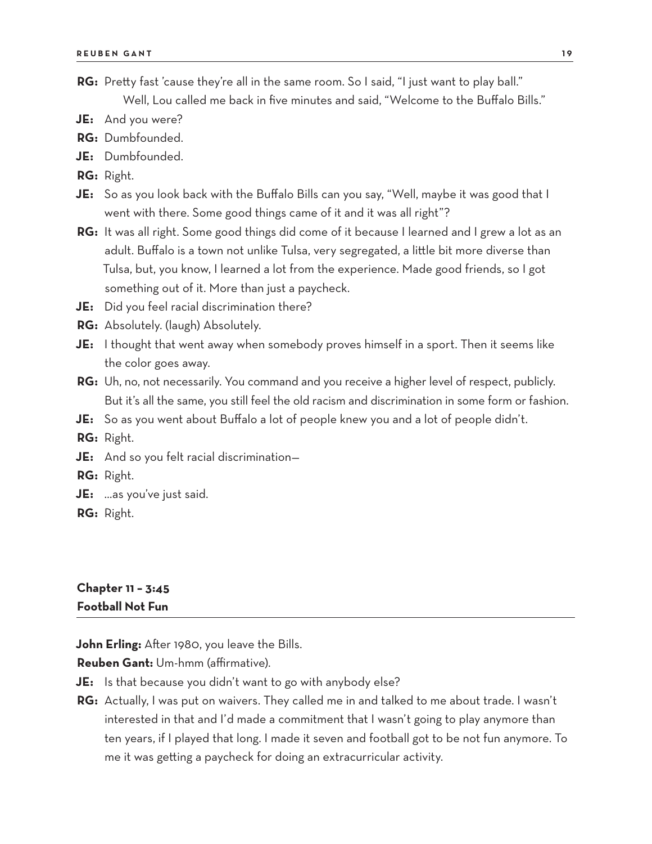- RG: Pretty fast 'cause they're all in the same room. So I said, "I just want to play ball." Well, Lou called me back in five minutes and said, "Welcome to the Buffalo Bills."
- **JE:** And you were?
- **RG:** Dumbfounded.
- **JE:** Dumbfounded.
- **RG:** Right.
- **JE:** So as you look back with the Buffalo Bills can you say, "Well, maybe it was good that I went with there. Some good things came of it and it was all right"?
- **RG:** It was all right. Some good things did come of it because I learned and I grew a lot as an adult. Buffalo is a town not unlike Tulsa, very segregated, a little bit more diverse than Tulsa, but, you know, I learned a lot from the experience. Made good friends, so I got something out of it. More than just a paycheck.
- **JE:** Did you feel racial discrimination there?
- **RG:** Absolutely. (laugh) Absolutely.
- **JE:** I thought that went away when somebody proves himself in a sport. Then it seems like the color goes away.
- **RG:** Uh, no, not necessarily. You command and you receive a higher level of respect, publicly. But it's all the same, you still feel the old racism and discrimination in some form or fashion.
- **JE:** So as you went about Buffalo a lot of people knew you and a lot of people didn't.
- **RG:** Right.
- **JE:** And so you felt racial discrimination—
- **RG:** Right.
- **JE:** …as you've just said.
- **RG:** Right.

## **Chapter 11 – 3:45 Football Not Fun**

**John Erling:** After 1980, you leave the Bills.

**Reuben Gant:** Um-hmm (affirmative).

- **JE:** Is that because you didn't want to go with anybody else?
- **RG:** Actually, I was put on waivers. They called me in and talked to me about trade. I wasn't interested in that and I'd made a commitment that I wasn't going to play anymore than ten years, if I played that long. I made it seven and football got to be not fun anymore. To me it was getting a paycheck for doing an extracurricular activity.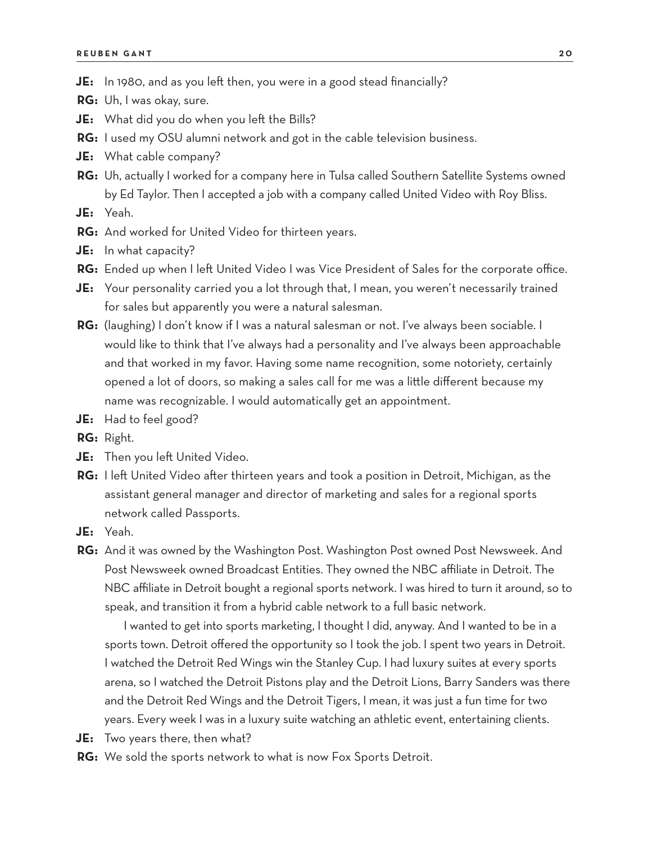- **JE:** In 1980, and as you left then, you were in a good stead financially?
- **RG:** Uh, I was okay, sure.
- **JE:** What did you do when you left the Bills?
- **RG:** I used my OSU alumni network and got in the cable television business.
- **JE:** What cable company?
- **RG:** Uh, actually I worked for a company here in Tulsa called Southern Satellite Systems owned by Ed Taylor. Then I accepted a job with a company called United Video with Roy Bliss.
- **JE:** Yeah.
- **RG:** And worked for United Video for thirteen years.
- **JE:** In what capacity?
- **RG:** Ended up when I left United Video I was Vice President of Sales for the corporate office.
- **JE:** Your personality carried you a lot through that, I mean, you weren't necessarily trained for sales but apparently you were a natural salesman.
- **RG:** (laughing) I don't know if I was a natural salesman or not. I've always been sociable. I would like to think that I've always had a personality and I've always been approachable and that worked in my favor. Having some name recognition, some notoriety, certainly opened a lot of doors, so making a sales call for me was a little different because my name was recognizable. I would automatically get an appointment.
- **JE:** Had to feel good?
- **RG:** Right.
- **JE:** Then you left United Video.
- **RG:** I left United Video after thirteen years and took a position in Detroit, Michigan, as the assistant general manager and director of marketing and sales for a regional sports network called Passports.
- **JE:** Yeah.
- **RG:** And it was owned by the Washington Post. Washington Post owned Post Newsweek. And Post Newsweek owned Broadcast Entities. They owned the NBC affiliate in Detroit. The NBC affiliate in Detroit bought a regional sports network. I was hired to turn it around, so to speak, and transition it from a hybrid cable network to a full basic network.

I wanted to get into sports marketing, I thought I did, anyway. And I wanted to be in a sports town. Detroit offered the opportunity so I took the job. I spent two years in Detroit. I watched the Detroit Red Wings win the Stanley Cup. I had luxury suites at every sports arena, so I watched the Detroit Pistons play and the Detroit Lions, Barry Sanders was there and the Detroit Red Wings and the Detroit Tigers, I mean, it was just a fun time for two years. Every week I was in a luxury suite watching an athletic event, entertaining clients.

- **JE:** Two years there, then what?
- **RG:** We sold the sports network to what is now Fox Sports Detroit.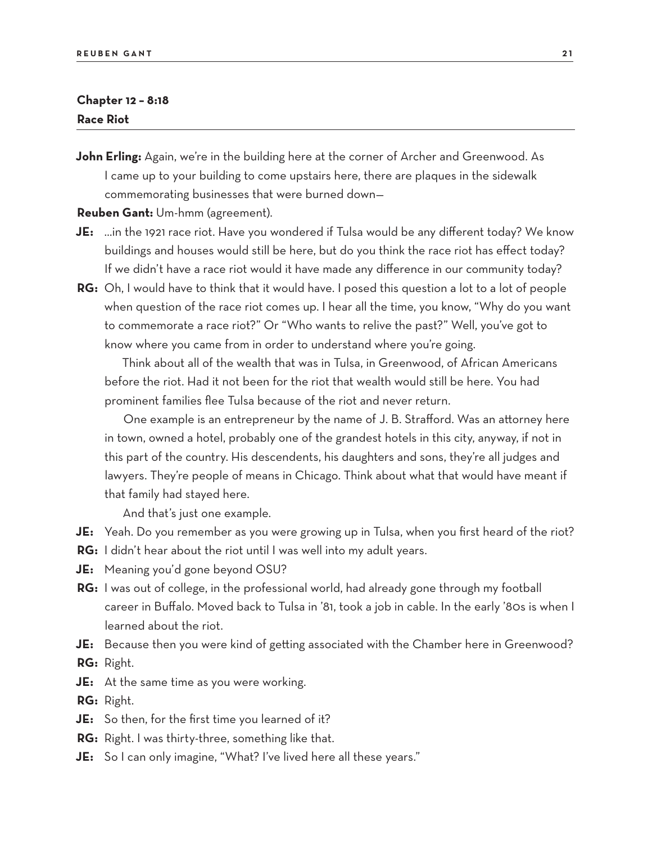#### **Chapter 12 – 8:18 Race Riot**

**John Erling:** Again, we're in the building here at the corner of Archer and Greenwood. As I came up to your building to come upstairs here, there are plaques in the sidewalk commemorating businesses that were burned down—

**Reuben Gant:** Um-hmm (agreement).

- **JE:** …in the 1921 race riot. Have you wondered if Tulsa would be any different today? We know buildings and houses would still be here, but do you think the race riot has effect today? If we didn't have a race riot would it have made any difference in our community today?
- **RG:** Oh, I would have to think that it would have. I posed this question a lot to a lot of people when question of the race riot comes up. I hear all the time, you know, "Why do you want to commemorate a race riot?" Or "Who wants to relive the past?" Well, you've got to know where you came from in order to understand where you're going.

Think about all of the wealth that was in Tulsa, in Greenwood, of African Americans before the riot. Had it not been for the riot that wealth would still be here. You had prominent families flee Tulsa because of the riot and never return.

One example is an entrepreneur by the name of J. B. Strafford. Was an attorney here in town, owned a hotel, probably one of the grandest hotels in this city, anyway, if not in this part of the country. His descendents, his daughters and sons, they're all judges and lawyers. They're people of means in Chicago. Think about what that would have meant if that family had stayed here.

And that's just one example.

- **JE:** Yeah. Do you remember as you were growing up in Tulsa, when you first heard of the riot?
- **RG:** I didn't hear about the riot until I was well into my adult years.
- **JE:** Meaning you'd gone beyond OSU?
- **RG:** I was out of college, in the professional world, had already gone through my football career in Buffalo. Moved back to Tulsa in '81, took a job in cable. In the early '80s is when I learned about the riot.
- **JE:** Because then you were kind of getting associated with the Chamber here in Greenwood? **RG:** Right.
- **JE:** At the same time as you were working.
- **RG:** Right.
- **JE:** So then, for the first time you learned of it?
- **RG:** Right. I was thirty-three, something like that.
- **JE:** So I can only imagine, "What? I've lived here all these years."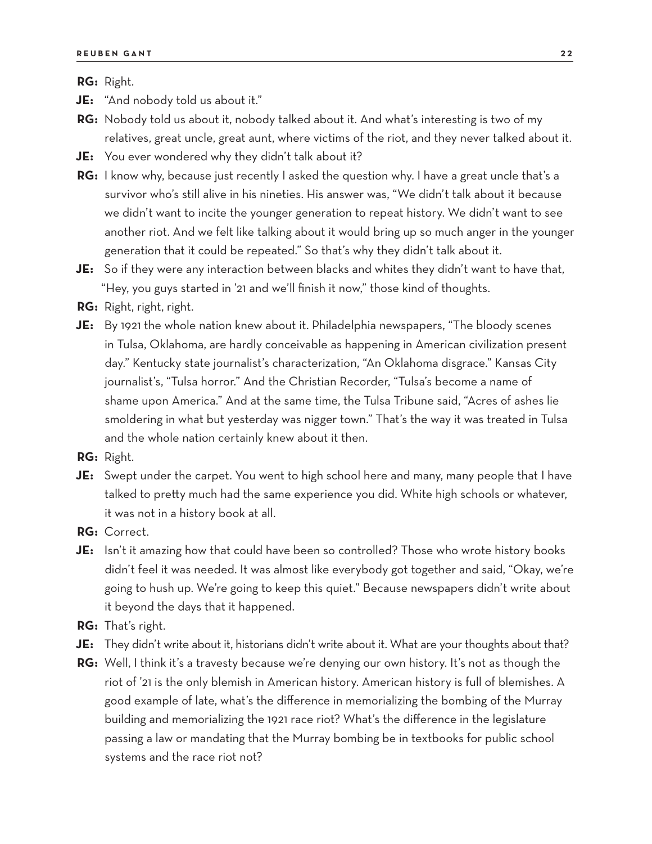**RG:** Right.

**JE:** "And nobody told us about it."

- **RG:** Nobody told us about it, nobody talked about it. And what's interesting is two of my relatives, great uncle, great aunt, where victims of the riot, and they never talked about it.
- **JE:** You ever wondered why they didn't talk about it?
- **RG:** I know why, because just recently I asked the question why. I have a great uncle that's a survivor who's still alive in his nineties. His answer was, "We didn't talk about it because we didn't want to incite the younger generation to repeat history. We didn't want to see another riot. And we felt like talking about it would bring up so much anger in the younger generation that it could be repeated." So that's why they didn't talk about it.
- **JE:** So if they were any interaction between blacks and whites they didn't want to have that, "Hey, you guys started in '21 and we'll finish it now," those kind of thoughts.
- **RG:** Right, right, right.
- **JE:** By 1921 the whole nation knew about it. Philadelphia newspapers, "The bloody scenes in Tulsa, Oklahoma, are hardly conceivable as happening in American civilization present day." Kentucky state journalist's characterization, "An Oklahoma disgrace." Kansas City journalist's, "Tulsa horror." And the Christian Recorder, "Tulsa's become a name of shame upon America." And at the same time, the Tulsa Tribune said, "Acres of ashes lie smoldering in what but yesterday was nigger town." That's the way it was treated in Tulsa and the whole nation certainly knew about it then.

**RG:** Right.

- **JE:** Swept under the carpet. You went to high school here and many, many people that I have talked to pretty much had the same experience you did. White high schools or whatever, it was not in a history book at all.
- **RG:** Correct.
- **JE:** Isn't it amazing how that could have been so controlled? Those who wrote history books didn't feel it was needed. It was almost like everybody got together and said, "Okay, we're going to hush up. We're going to keep this quiet." Because newspapers didn't write about it beyond the days that it happened.
- **RG:** That's right.
- **JE:** They didn't write about it, historians didn't write about it. What are your thoughts about that?
- **RG:** Well, I think it's a travesty because we're denying our own history. It's not as though the riot of '21 is the only blemish in American history. American history is full of blemishes. A good example of late, what's the difference in memorializing the bombing of the Murray building and memorializing the 1921 race riot? What's the difference in the legislature passing a law or mandating that the Murray bombing be in textbooks for public school systems and the race riot not?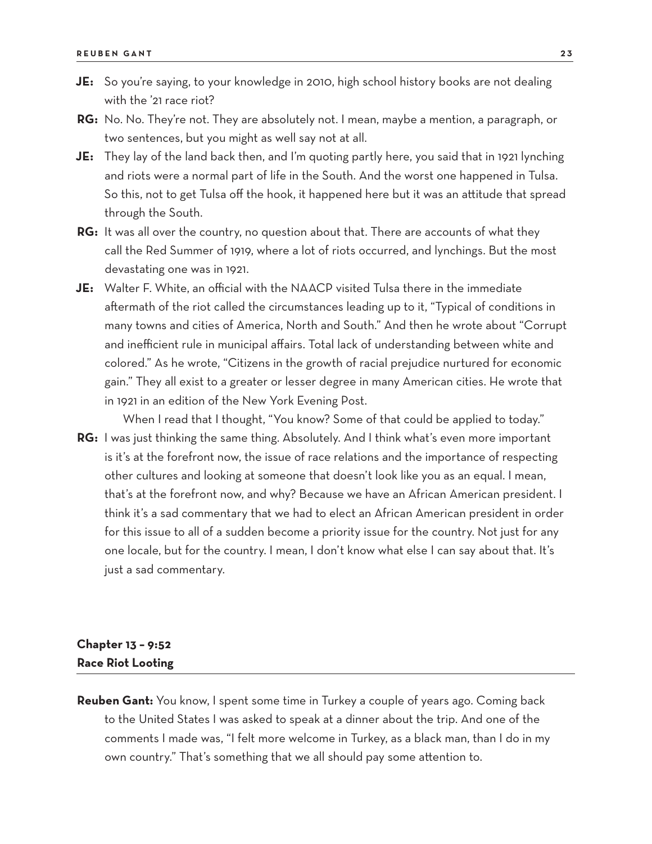- **JE:** So you're saying, to your knowledge in 2010, high school history books are not dealing with the '21 race riot?
- **RG:** No. No. They're not. They are absolutely not. I mean, maybe a mention, a paragraph, or two sentences, but you might as well say not at all.
- **JE:** They lay of the land back then, and I'm quoting partly here, you said that in 1921 lynching and riots were a normal part of life in the South. And the worst one happened in Tulsa. So this, not to get Tulsa off the hook, it happened here but it was an attitude that spread through the South.
- **RG:** It was all over the country, no question about that. There are accounts of what they call the Red Summer of 1919, where a lot of riots occurred, and lynchings. But the most devastating one was in 1921.
- **JE:** Walter F. White, an official with the NAACP visited Tulsa there in the immediate aftermath of the riot called the circumstances leading up to it, "Typical of conditions in many towns and cities of America, North and South." And then he wrote about "Corrupt and inefficient rule in municipal affairs. Total lack of understanding between white and colored." As he wrote, "Citizens in the growth of racial prejudice nurtured for economic gain." They all exist to a greater or lesser degree in many American cities. He wrote that in 1921 in an edition of the New York Evening Post.
- When I read that I thought, "You know? Some of that could be applied to today." **RG:** I was just thinking the same thing. Absolutely. And I think what's even more important is it's at the forefront now, the issue of race relations and the importance of respecting other cultures and looking at someone that doesn't look like you as an equal. I mean, that's at the forefront now, and why? Because we have an African American president. I think it's a sad commentary that we had to elect an African American president in order for this issue to all of a sudden become a priority issue for the country. Not just for any one locale, but for the country. I mean, I don't know what else I can say about that. It's just a sad commentary.

## **Chapter 13 – 9:52 Race Riot Looting**

**Reuben Gant:** You know, I spent some time in Turkey a couple of years ago. Coming back to the United States I was asked to speak at a dinner about the trip. And one of the comments I made was, "I felt more welcome in Turkey, as a black man, than I do in my own country." That's something that we all should pay some attention to.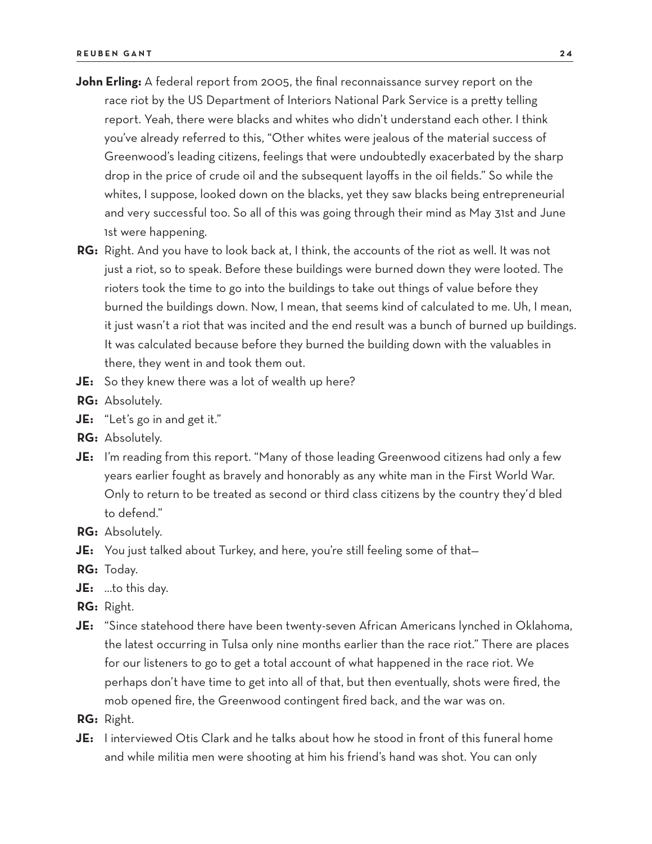- John Erling: A federal report from 2005, the final reconnaissance survey report on the race riot by the US Department of Interiors National Park Service is a pretty telling report. Yeah, there were blacks and whites who didn't understand each other. I think you've already referred to this, "Other whites were jealous of the material success of Greenwood's leading citizens, feelings that were undoubtedly exacerbated by the sharp drop in the price of crude oil and the subsequent layoffs in the oil fields." So while the whites, I suppose, looked down on the blacks, yet they saw blacks being entrepreneurial and very successful too. So all of this was going through their mind as May 31st and June 1st were happening.
- **RG:** Right. And you have to look back at, I think, the accounts of the riot as well. It was not just a riot, so to speak. Before these buildings were burned down they were looted. The rioters took the time to go into the buildings to take out things of value before they burned the buildings down. Now, I mean, that seems kind of calculated to me. Uh, I mean, it just wasn't a riot that was incited and the end result was a bunch of burned up buildings. It was calculated because before they burned the building down with the valuables in there, they went in and took them out.
- **JE:** So they knew there was a lot of wealth up here?
- **RG:** Absolutely.
- **JE:** "Let's go in and get it."
- **RG:** Absolutely.
- **JE:** I'm reading from this report. "Many of those leading Greenwood citizens had only a few years earlier fought as bravely and honorably as any white man in the First World War. Only to return to be treated as second or third class citizens by the country they'd bled to defend."
- **RG:** Absolutely.
- **JE:** You just talked about Turkey, and here, you're still feeling some of that—
- **RG:** Today.
- **JE:** …to this day.
- **RG:** Right.
- **JE:** "Since statehood there have been twenty-seven African Americans lynched in Oklahoma, the latest occurring in Tulsa only nine months earlier than the race riot." There are places for our listeners to go to get a total account of what happened in the race riot. We perhaps don't have time to get into all of that, but then eventually, shots were fired, the mob opened fire, the Greenwood contingent fired back, and the war was on.
- **RG:** Right.
- **JE:** I interviewed Otis Clark and he talks about how he stood in front of this funeral home and while militia men were shooting at him his friend's hand was shot. You can only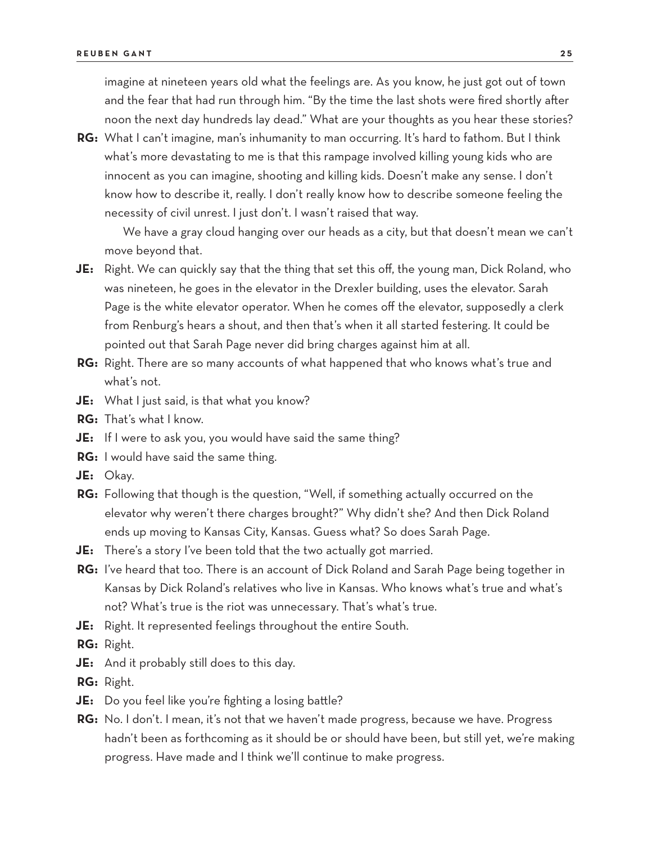imagine at nineteen years old what the feelings are. As you know, he just got out of town and the fear that had run through him. "By the time the last shots were fired shortly after noon the next day hundreds lay dead." What are your thoughts as you hear these stories?

**RG:** What I can't imagine, man's inhumanity to man occurring. It's hard to fathom. But I think what's more devastating to me is that this rampage involved killing young kids who are innocent as you can imagine, shooting and killing kids. Doesn't make any sense. I don't know how to describe it, really. I don't really know how to describe someone feeling the necessity of civil unrest. I just don't. I wasn't raised that way.

We have a gray cloud hanging over our heads as a city, but that doesn't mean we can't move beyond that.

- **JE:** Right. We can quickly say that the thing that set this off, the young man, Dick Roland, who was nineteen, he goes in the elevator in the Drexler building, uses the elevator. Sarah Page is the white elevator operator. When he comes off the elevator, supposedly a clerk from Renburg's hears a shout, and then that's when it all started festering. It could be pointed out that Sarah Page never did bring charges against him at all.
- **RG:** Right. There are so many accounts of what happened that who knows what's true and what's not.
- **JE:** What I just said, is that what you know?
- **RG:** That's what I know.
- **JE:** If I were to ask you, you would have said the same thing?
- **RG:** I would have said the same thing.
- **JE:** Okay.
- **RG:** Following that though is the question, "Well, if something actually occurred on the elevator why weren't there charges brought?" Why didn't she? And then Dick Roland ends up moving to Kansas City, Kansas. Guess what? So does Sarah Page.
- **JE:** There's a story I've been told that the two actually got married.
- **RG:** I've heard that too. There is an account of Dick Roland and Sarah Page being together in Kansas by Dick Roland's relatives who live in Kansas. Who knows what's true and what's not? What's true is the riot was unnecessary. That's what's true.
- **JE:** Right. It represented feelings throughout the entire South.
- **RG:** Right.
- **JE:** And it probably still does to this day.
- **RG:** Right.
- **JE:** Do you feel like you're fighting a losing battle?
- **RG:** No. I don't. I mean, it's not that we haven't made progress, because we have. Progress hadn't been as forthcoming as it should be or should have been, but still yet, we're making progress. Have made and I think we'll continue to make progress.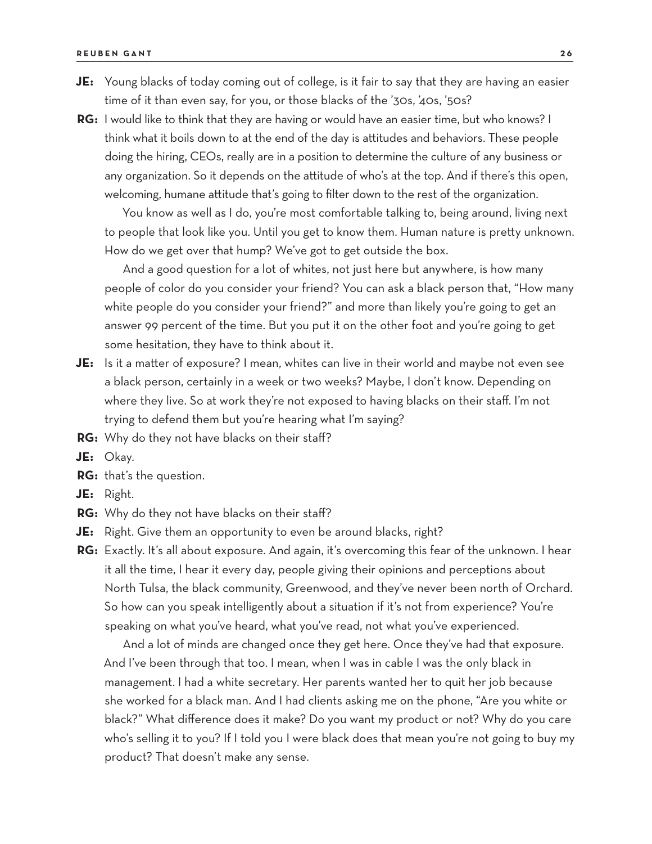- **JE:** Young blacks of today coming out of college, is it fair to say that they are having an easier time of it than even say, for you, or those blacks of the '30s, '40s, '50s?
- **RG:** I would like to think that they are having or would have an easier time, but who knows? I think what it boils down to at the end of the day is attitudes and behaviors. These people doing the hiring, CEOs, really are in a position to determine the culture of any business or any organization. So it depends on the attitude of who's at the top. And if there's this open, welcoming, humane attitude that's going to filter down to the rest of the organization.

You know as well as I do, you're most comfortable talking to, being around, living next to people that look like you. Until you get to know them. Human nature is pretty unknown. How do we get over that hump? We've got to get outside the box.

And a good question for a lot of whites, not just here but anywhere, is how many people of color do you consider your friend? You can ask a black person that, "How many white people do you consider your friend?" and more than likely you're going to get an answer 99 percent of the time. But you put it on the other foot and you're going to get some hesitation, they have to think about it.

- **JE:** Is it a matter of exposure? I mean, whites can live in their world and maybe not even see a black person, certainly in a week or two weeks? Maybe, I don't know. Depending on where they live. So at work they're not exposed to having blacks on their staff. I'm not trying to defend them but you're hearing what I'm saying?
- **RG:** Why do they not have blacks on their staff?
- **JE:** Okay.
- **RG:** that's the question.
- **JE:** Right.
- **RG:** Why do they not have blacks on their staff?
- **JE:** Right. Give them an opportunity to even be around blacks, right?
- **RG:** Exactly. It's all about exposure. And again, it's overcoming this fear of the unknown. I hear it all the time, I hear it every day, people giving their opinions and perceptions about North Tulsa, the black community, Greenwood, and they've never been north of Orchard. So how can you speak intelligently about a situation if it's not from experience? You're speaking on what you've heard, what you've read, not what you've experienced.

And a lot of minds are changed once they get here. Once they've had that exposure. And I've been through that too. I mean, when I was in cable I was the only black in management. I had a white secretary. Her parents wanted her to quit her job because she worked for a black man. And I had clients asking me on the phone, "Are you white or black?" What difference does it make? Do you want my product or not? Why do you care who's selling it to you? If I told you I were black does that mean you're not going to buy my product? That doesn't make any sense.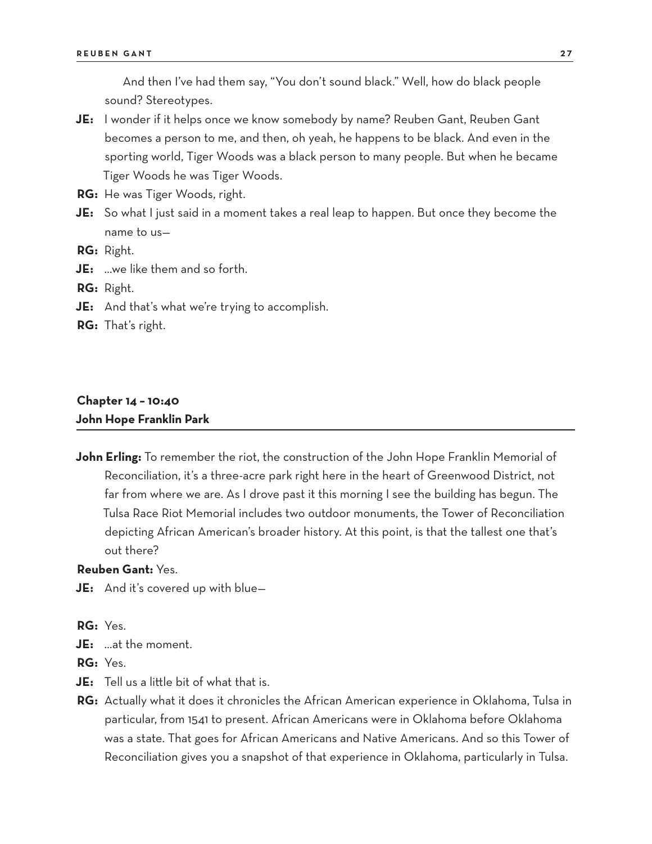And then I've had them say, "You don't sound black." Well, how do black people sound? Stereotypes.

- **JE:** I wonder if it helps once we know somebody by name? Reuben Gant, Reuben Gant becomes a person to me, and then, oh yeah, he happens to be black. And even in the sporting world, Tiger Woods was a black person to many people. But when he became Tiger Woods he was Tiger Woods.
- **RG:** He was Tiger Woods, right.
- **JE:** So what I just said in a moment takes a real leap to happen. But once they become the name to us—
- **RG:** Right.
- **JE:** …we like them and so forth.
- **RG:** Right.
- **JE:** And that's what we're trying to accomplish.
- **RG:** That's right.

## **Chapter 14 – 10:40**

**John Hope Franklin Park** 

**John Erling:** To remember the riot, the construction of the John Hope Franklin Memorial of Reconciliation, it's a three-acre park right here in the heart of Greenwood District, not far from where we are. As I drove past it this morning I see the building has begun. The Tulsa Race Riot Memorial includes two outdoor monuments, the Tower of Reconciliation depicting African American's broader history. At this point, is that the tallest one that's out there?

#### **Reuben Gant:** Yes.

**JE:** And it's covered up with blue—

**RG:** Yes.

**JE:** …at the moment.

**RG:** Yes.

- **JE:** Tell us a little bit of what that is.
- **RG:** Actually what it does it chronicles the African American experience in Oklahoma, Tulsa in particular, from 1541 to present. African Americans were in Oklahoma before Oklahoma was a state. That goes for African Americans and Native Americans. And so this Tower of Reconciliation gives you a snapshot of that experience in Oklahoma, particularly in Tulsa.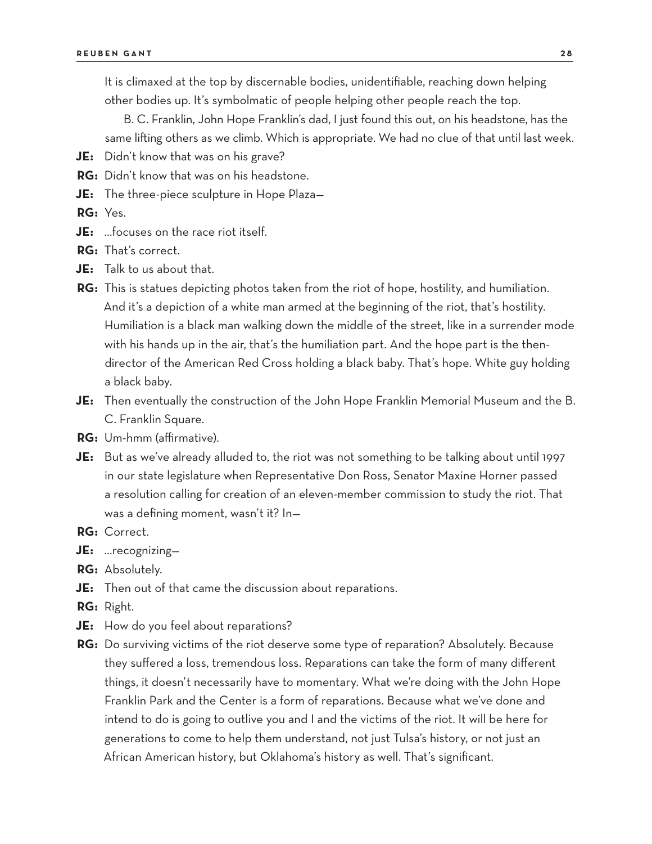It is climaxed at the top by discernable bodies, unidentifiable, reaching down helping other bodies up. It's symbolmatic of people helping other people reach the top.

B. C. Franklin, John Hope Franklin's dad, I just found this out, on his headstone, has the same lifting others as we climb. Which is appropriate. We had no clue of that until last week.

- **JE:** Didn't know that was on his grave?
- **RG:** Didn't know that was on his headstone.
- **JE:** The three-piece sculpture in Hope Plaza—
- **RG:** Yes.
- **JE:** …focuses on the race riot itself.
- **RG:** That's correct.
- **JE:** Talk to us about that.
- **RG:** This is statues depicting photos taken from the riot of hope, hostility, and humiliation. And it's a depiction of a white man armed at the beginning of the riot, that's hostility. Humiliation is a black man walking down the middle of the street, like in a surrender mode with his hands up in the air, that's the humiliation part. And the hope part is the thendirector of the American Red Cross holding a black baby. That's hope. White guy holding a black baby.
- **JE:** Then eventually the construction of the John Hope Franklin Memorial Museum and the B. C. Franklin Square.
- **RG:** Um-hmm (affirmative).
- **JE:** But as we've already alluded to, the riot was not something to be talking about until 1997 in our state legislature when Representative Don Ross, Senator Maxine Horner passed a resolution calling for creation of an eleven-member commission to study the riot. That was a defining moment, wasn't it? In—
- **RG:** Correct.
- **JE:** …recognizing—
- **RG:** Absolutely.
- **JE:** Then out of that came the discussion about reparations.
- **RG:** Right.
- **JE:** How do you feel about reparations?
- **RG:** Do surviving victims of the riot deserve some type of reparation? Absolutely. Because they suffered a loss, tremendous loss. Reparations can take the form of many different things, it doesn't necessarily have to momentary. What we're doing with the John Hope Franklin Park and the Center is a form of reparations. Because what we've done and intend to do is going to outlive you and I and the victims of the riot. It will be here for generations to come to help them understand, not just Tulsa's history, or not just an African American history, but Oklahoma's history as well. That's significant.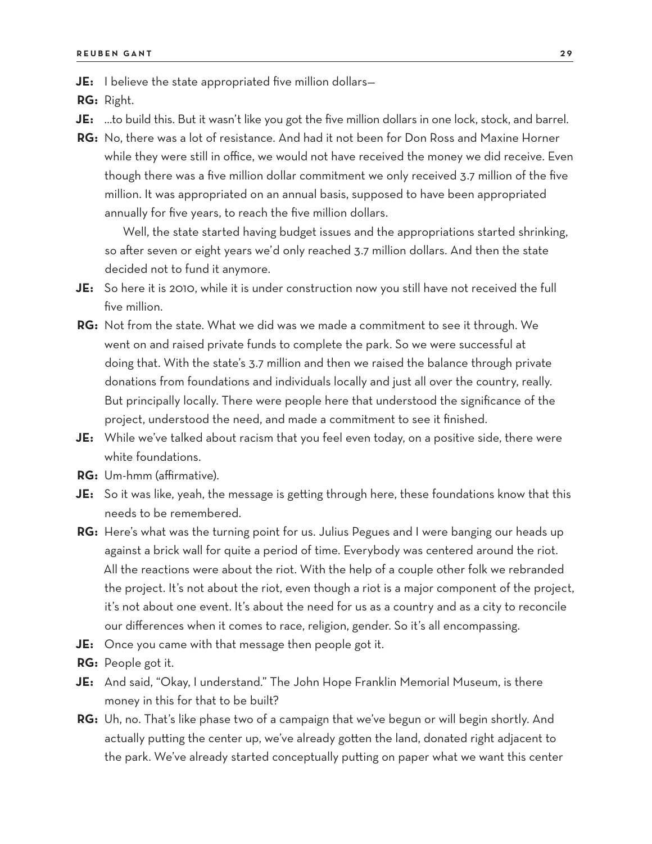**JE:** I believe the state appropriated five million dollars-

**RG:** Right.

- **JE:** …to build this. But it wasn't like you got the five million dollars in one lock, stock, and barrel.
- **RG:** No, there was a lot of resistance. And had it not been for Don Ross and Maxine Horner while they were still in office, we would not have received the money we did receive. Even though there was a five million dollar commitment we only received 3.7 million of the five million. It was appropriated on an annual basis, supposed to have been appropriated annually for five years, to reach the five million dollars.

Well, the state started having budget issues and the appropriations started shrinking, so after seven or eight years we'd only reached 3.7 million dollars. And then the state decided not to fund it anymore.

- **JE:** So here it is 2010, while it is under construction now you still have not received the full five million.
- **RG:** Not from the state. What we did was we made a commitment to see it through. We went on and raised private funds to complete the park. So we were successful at doing that. With the state's 3.7 million and then we raised the balance through private donations from foundations and individuals locally and just all over the country, really. But principally locally. There were people here that understood the significance of the project, understood the need, and made a commitment to see it finished.
- **JE:** While we've talked about racism that you feel even today, on a positive side, there were white foundations.
- **RG:** Um-hmm (affirmative).
- **JE:** So it was like, yeah, the message is getting through here, these foundations know that this needs to be remembered.
- **RG:** Here's what was the turning point for us. Julius Pegues and I were banging our heads up against a brick wall for quite a period of time. Everybody was centered around the riot. All the reactions were about the riot. With the help of a couple other folk we rebranded the project. It's not about the riot, even though a riot is a major component of the project, it's not about one event. It's about the need for us as a country and as a city to reconcile our differences when it comes to race, religion, gender. So it's all encompassing.
- **JE:** Once you came with that message then people got it.
- **RG:** People got it.
- **JE:** And said, "Okay, I understand." The John Hope Franklin Memorial Museum, is there money in this for that to be built?
- **RG:** Uh, no. That's like phase two of a campaign that we've begun or will begin shortly. And actually putting the center up, we've already gotten the land, donated right adjacent to the park. We've already started conceptually putting on paper what we want this center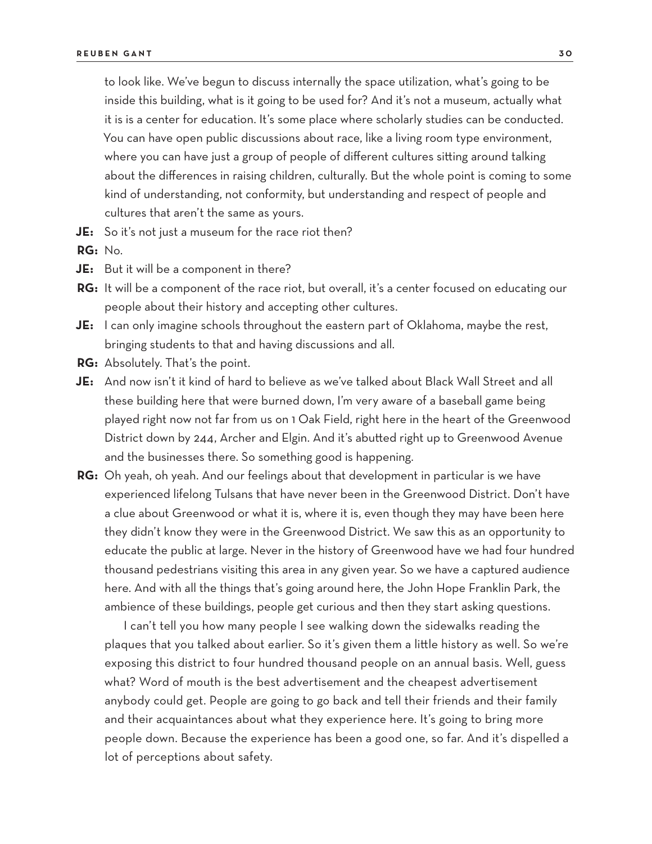to look like. We've begun to discuss internally the space utilization, what's going to be inside this building, what is it going to be used for? And it's not a museum, actually what it is is a center for education. It's some place where scholarly studies can be conducted. You can have open public discussions about race, like a living room type environment, where you can have just a group of people of different cultures sitting around talking about the differences in raising children, culturally. But the whole point is coming to some kind of understanding, not conformity, but understanding and respect of people and cultures that aren't the same as yours.

**JE:** So it's not just a museum for the race riot then?

**RG:** No.

- **JE:** But it will be a component in there?
- RG: It will be a component of the race riot, but overall, it's a center focused on educating our people about their history and accepting other cultures.
- **JE:** I can only imagine schools throughout the eastern part of Oklahoma, maybe the rest, bringing students to that and having discussions and all.
- **RG:** Absolutely. That's the point.
- **JE:** And now isn't it kind of hard to believe as we've talked about Black Wall Street and all these building here that were burned down, I'm very aware of a baseball game being played right now not far from us on 1 Oak Field, right here in the heart of the Greenwood District down by 244, Archer and Elgin. And it's abutted right up to Greenwood Avenue and the businesses there. So something good is happening.
- **RG:** Oh yeah, oh yeah. And our feelings about that development in particular is we have experienced lifelong Tulsans that have never been in the Greenwood District. Don't have a clue about Greenwood or what it is, where it is, even though they may have been here they didn't know they were in the Greenwood District. We saw this as an opportunity to educate the public at large. Never in the history of Greenwood have we had four hundred thousand pedestrians visiting this area in any given year. So we have a captured audience here. And with all the things that's going around here, the John Hope Franklin Park, the ambience of these buildings, people get curious and then they start asking questions.

I can't tell you how many people I see walking down the sidewalks reading the plaques that you talked about earlier. So it's given them a little history as well. So we're exposing this district to four hundred thousand people on an annual basis. Well, guess what? Word of mouth is the best advertisement and the cheapest advertisement anybody could get. People are going to go back and tell their friends and their family and their acquaintances about what they experience here. It's going to bring more people down. Because the experience has been a good one, so far. And it's dispelled a lot of perceptions about safety.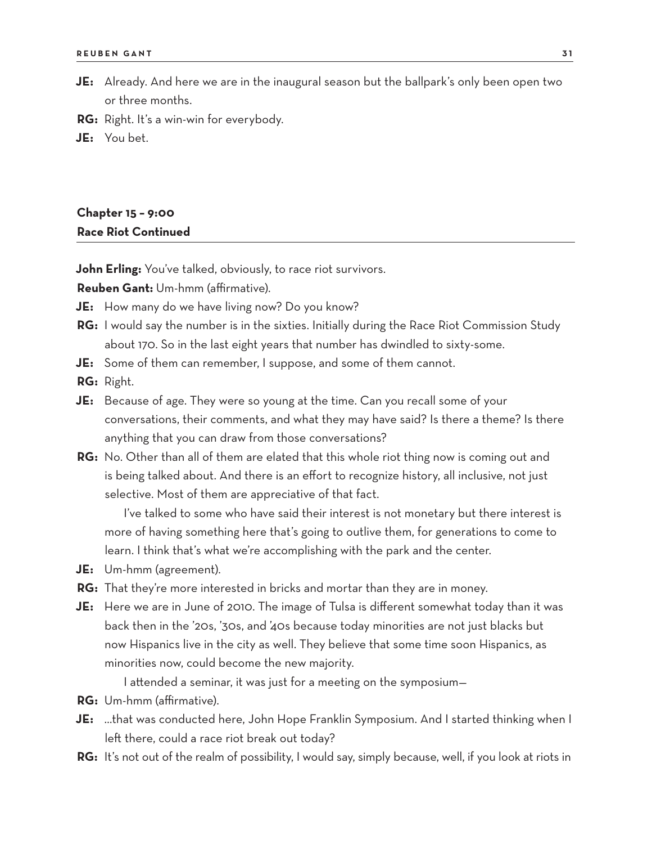- **JE:** Already. And here we are in the inaugural season but the ballpark's only been open two or three months.
- **RG:** Right. It's a win-win for everybody.
- **JE:** You bet.

## **Chapter 15 – 9:00 Race Riot Continued**

**John Erling:** You've talked, obviously, to race riot survivors.

**Reuben Gant:** Um-hmm (affirmative).

- **JE:** How many do we have living now? Do you know?
- **RG:** I would say the number is in the sixties. Initially during the Race Riot Commission Study about 170. So in the last eight years that number has dwindled to sixty-some.
- **JE:** Some of them can remember, I suppose, and some of them cannot.
- **RG:** Right.
- **JE:** Because of age. They were so young at the time. Can you recall some of your conversations, their comments, and what they may have said? Is there a theme? Is there anything that you can draw from those conversations?
- **RG:** No. Other than all of them are elated that this whole riot thing now is coming out and is being talked about. And there is an effort to recognize history, all inclusive, not just selective. Most of them are appreciative of that fact.

I've talked to some who have said their interest is not monetary but there interest is more of having something here that's going to outlive them, for generations to come to learn. I think that's what we're accomplishing with the park and the center.

- **JE:** Um-hmm (agreement).
- **RG:** That they're more interested in bricks and mortar than they are in money.
- **JE:** Here we are in June of 2010. The image of Tulsa is different somewhat today than it was back then in the '20s, '30s, and '40s because today minorities are not just blacks but now Hispanics live in the city as well. They believe that some time soon Hispanics, as minorities now, could become the new majority.

I attended a seminar, it was just for a meeting on the symposium—

- **RG:** Um-hmm (affirmative).
- **JE:** …that was conducted here, John Hope Franklin Symposium. And I started thinking when I left there, could a race riot break out today?
- **RG:** It's not out of the realm of possibility, I would say, simply because, well, if you look at riots in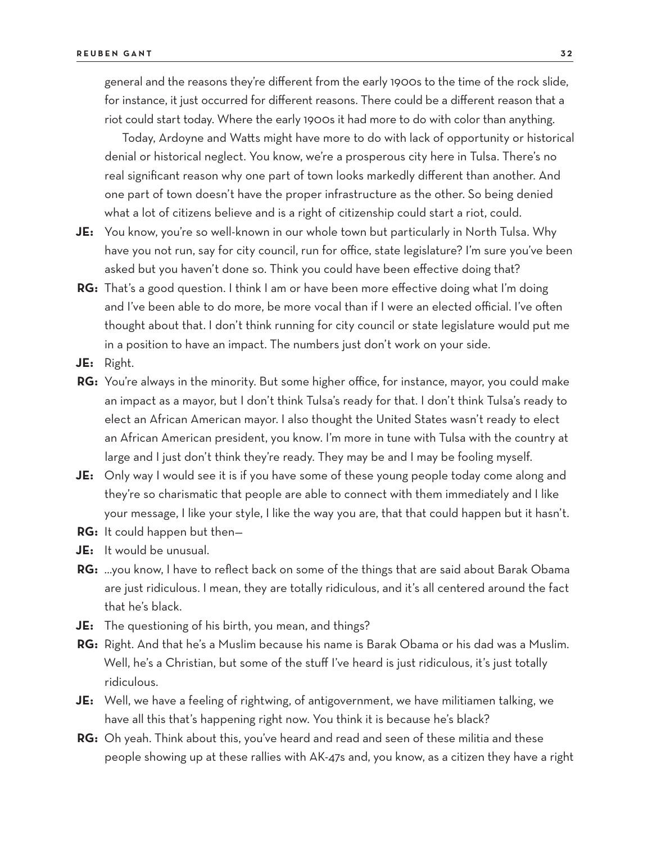general and the reasons they're different from the early 1900s to the time of the rock slide, for instance, it just occurred for different reasons. There could be a different reason that a riot could start today. Where the early 1900s it had more to do with color than anything.

Today, Ardoyne and Watts might have more to do with lack of opportunity or historical denial or historical neglect. You know, we're a prosperous city here in Tulsa. There's no real significant reason why one part of town looks markedly different than another. And one part of town doesn't have the proper infrastructure as the other. So being denied what a lot of citizens believe and is a right of citizenship could start a riot, could.

- **JE:** You know, you're so well-known in our whole town but particularly in North Tulsa. Why have you not run, say for city council, run for office, state legislature? I'm sure you've been asked but you haven't done so. Think you could have been effective doing that?
- **RG:** That's a good question. I think I am or have been more effective doing what I'm doing and I've been able to do more, be more vocal than if I were an elected official. I've often thought about that. I don't think running for city council or state legislature would put me in a position to have an impact. The numbers just don't work on your side.
- **JE:** Right.
- **RG:** You're always in the minority. But some higher office, for instance, mayor, you could make an impact as a mayor, but I don't think Tulsa's ready for that. I don't think Tulsa's ready to elect an African American mayor. I also thought the United States wasn't ready to elect an African American president, you know. I'm more in tune with Tulsa with the country at large and I just don't think they're ready. They may be and I may be fooling myself.
- **JE:** Only way I would see it is if you have some of these young people today come along and they're so charismatic that people are able to connect with them immediately and I like your message, I like your style, I like the way you are, that that could happen but it hasn't.
- **RG:** It could happen but then—
- **JE:** It would be unusual.
- **RG:** …you know, I have to reflect back on some of the things that are said about Barak Obama are just ridiculous. I mean, they are totally ridiculous, and it's all centered around the fact that he's black.
- **JE:** The questioning of his birth, you mean, and things?
- **RG:** Right. And that he's a Muslim because his name is Barak Obama or his dad was a Muslim. Well, he's a Christian, but some of the stuff I've heard is just ridiculous, it's just totally ridiculous.
- **JE:** Well, we have a feeling of rightwing, of antigovernment, we have militiamen talking, we have all this that's happening right now. You think it is because he's black?
- **RG:** Oh yeah. Think about this, you've heard and read and seen of these militia and these people showing up at these rallies with AK-47s and, you know, as a citizen they have a right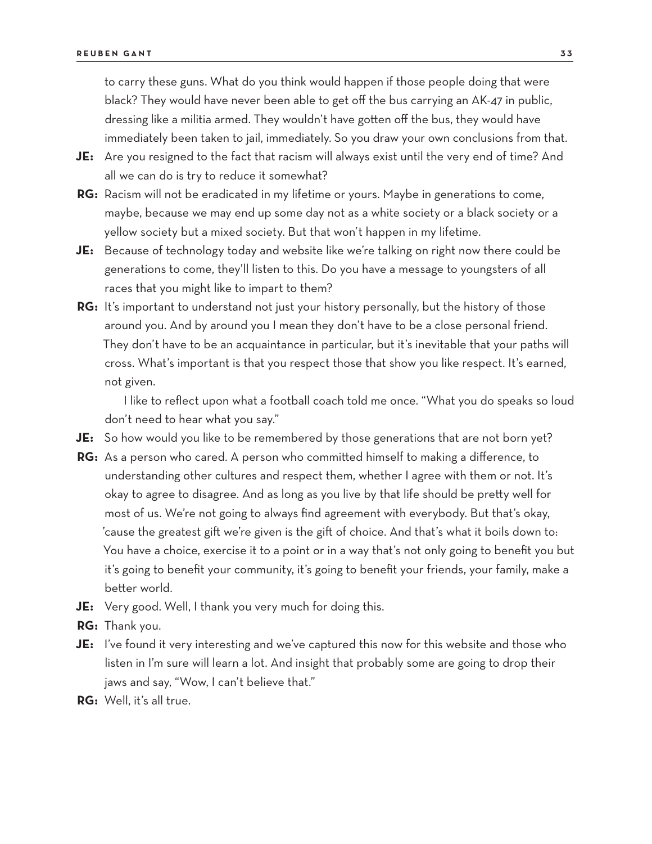to carry these guns. What do you think would happen if those people doing that were black? They would have never been able to get off the bus carrying an AK-47 in public, dressing like a militia armed. They wouldn't have gotten off the bus, they would have immediately been taken to jail, immediately. So you draw your own conclusions from that.

- **JE:** Are you resigned to the fact that racism will always exist until the very end of time? And all we can do is try to reduce it somewhat?
- **RG:** Racism will not be eradicated in my lifetime or yours. Maybe in generations to come, maybe, because we may end up some day not as a white society or a black society or a yellow society but a mixed society. But that won't happen in my lifetime.
- **JE:** Because of technology today and website like we're talking on right now there could be generations to come, they'll listen to this. Do you have a message to youngsters of all races that you might like to impart to them?
- **RG:** It's important to understand not just your history personally, but the history of those around you. And by around you I mean they don't have to be a close personal friend. They don't have to be an acquaintance in particular, but it's inevitable that your paths will cross. What's important is that you respect those that show you like respect. It's earned, not given.

I like to reflect upon what a football coach told me once. "What you do speaks so loud don't need to hear what you say."

- **JE:** So how would you like to be remembered by those generations that are not born yet?
- **RG:** As a person who cared. A person who committed himself to making a difference, to understanding other cultures and respect them, whether I agree with them or not. It's okay to agree to disagree. And as long as you live by that life should be pretty well for most of us. We're not going to always find agreement with everybody. But that's okay, 'cause the greatest gift we're given is the gift of choice. And that's what it boils down to: You have a choice, exercise it to a point or in a way that's not only going to benefit you but it's going to benefit your community, it's going to benefit your friends, your family, make a better world.
- **JE:** Very good. Well, I thank you very much for doing this.
- **RG:** Thank you.
- **JE:** I've found it very interesting and we've captured this now for this website and those who listen in I'm sure will learn a lot. And insight that probably some are going to drop their jaws and say, "Wow, I can't believe that."
- **RG:** Well, it's all true.